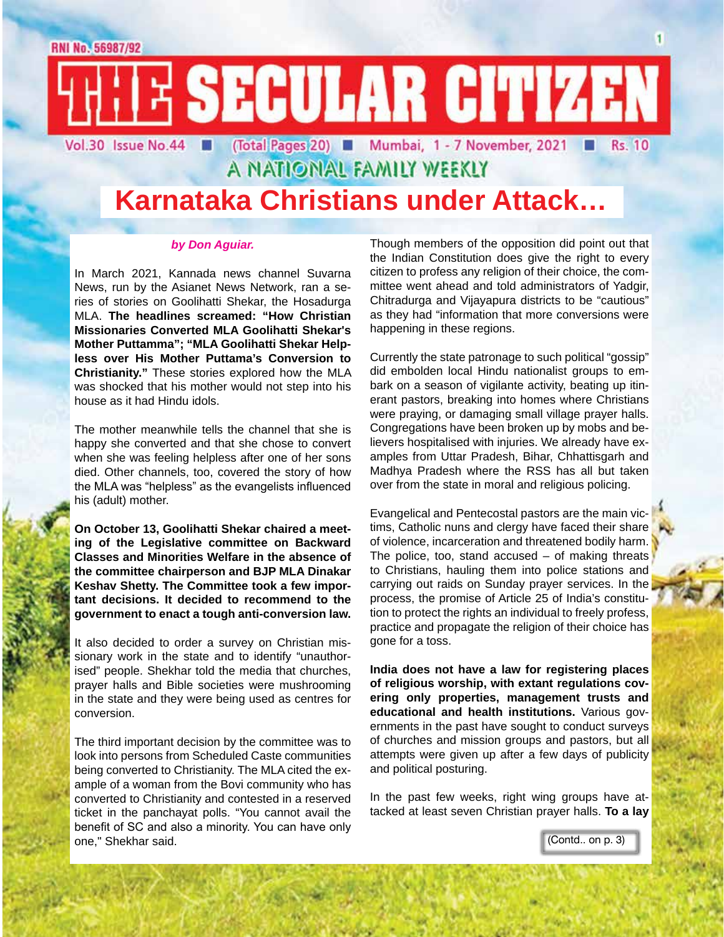E SECULAR CITIZEN (Total Pages 20) ■ Mumbai, 1 - 7 November, 2021 ■ Vol.30 Issue No.44 **Rs. 10** 

A NATIONAL FAMILY WEEKLY

## **Karnataka Christians under Attack…**

### *by Don Aguiar.*

In March 2021, Kannada news channel Suvarna News, run by the Asianet News Network, ran a series of stories on Goolihatti Shekar, the Hosadurga MLA. **The headlines screamed: "How Christian Missionaries Converted MLA Goolihatti Shekar's Mother Puttamma"; "MLA Goolihatti Shekar Helpless over His Mother Puttama's Conversion to Christianity."** These stories explored how the MLA was shocked that his mother would not step into his house as it had Hindu idols.

The mother meanwhile tells the channel that she is happy she converted and that she chose to convert when she was feeling helpless after one of her sons died. Other channels, too, covered the story of how the MLA was "helpless" as the evangelists influenced his (adult) mother.

**On October 13, Goolihatti Shekar chaired a meeting of the Legislative committee on Backward Classes and Minorities Welfare in the absence of the committee chairperson and BJP MLA Dinakar Keshav Shetty. The Committee took a few important decisions. It decided to recommend to the government to enact a tough anti-conversion law.** 

It also decided to order a survey on Christian missionary work in the state and to identify "unauthorised" people. Shekhar told the media that churches, prayer halls and Bible societies were mushrooming in the state and they were being used as centres for conversion.

The third important decision by the committee was to look into persons from Scheduled Caste communities being converted to Christianity. The MLA cited the example of a woman from the Bovi community who has converted to Christianity and contested in a reserved ticket in the panchayat polls. "You cannot avail the benefit of SC and also a minority. You can have only one," Shekhar said.

Though members of the opposition did point out that the Indian Constitution does give the right to every citizen to profess any religion of their choice, the committee went ahead and told administrators of Yadgir, Chitradurga and Vijayapura districts to be "cautious" as they had "information that more conversions were happening in these regions.

Currently the state patronage to such political "gossip" did embolden local Hindu nationalist groups to embark on a season of vigilante activity, beating up itinerant pastors, breaking into homes where Christians were praying, or damaging small village prayer halls. Congregations have been broken up by mobs and believers hospitalised with injuries. We already have examples from Uttar Pradesh, Bihar, Chhattisgarh and Madhya Pradesh where the RSS has all but taken over from the state in moral and religious policing.

Evangelical and Pentecostal pastors are the main victims, Catholic nuns and clergy have faced their share of violence, incarceration and threatened bodily harm. The police, too, stand accused  $-$  of making threats to Christians, hauling them into police stations and carrying out raids on Sunday prayer services. In the process, the promise of Article 25 of India's constitution to protect the rights an individual to freely profess, practice and propagate the religion of their choice has gone for a toss.

**India does not have a law for registering places of religious worship, with extant regulations covering only properties, management trusts and educational and health institutions.** Various governments in the past have sought to conduct surveys of churches and mission groups and pastors, but all attempts were given up after a few days of publicity and political posturing.

In the past few weeks, right wing groups have attacked at least seven Christian prayer halls. **To a lay** 

(Contd.. on p. 3)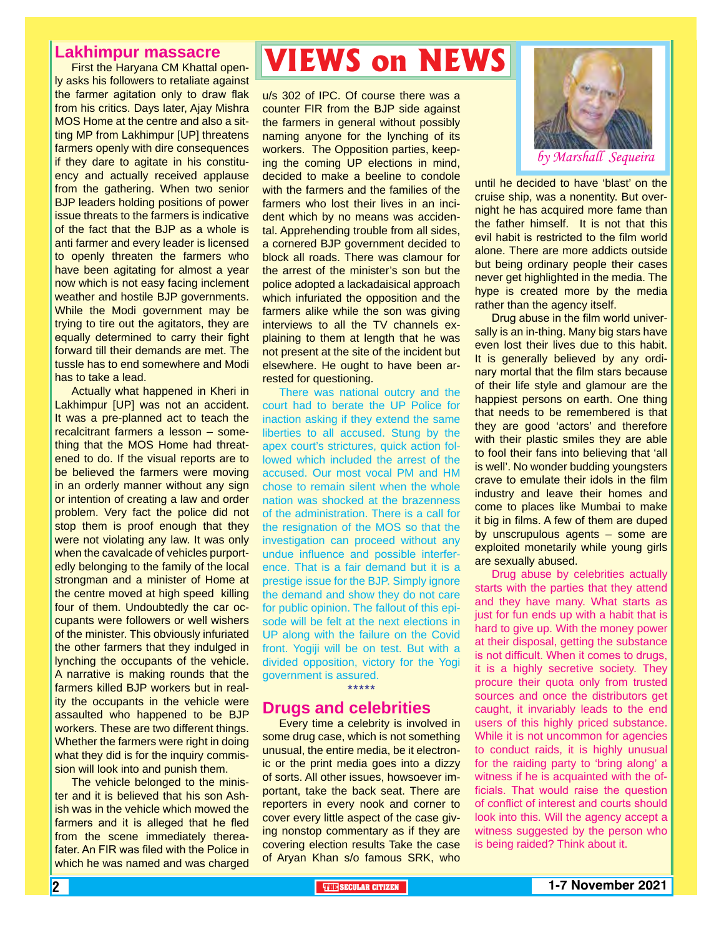### **Lakhimpur massacre**

First the Haryana CM Khattal openly asks his followers to retaliate against the farmer agitation only to draw flak from his critics. Days later, Ajay Mishra MOS Home at the centre and also a sitting MP from Lakhimpur [UP] threatens farmers openly with dire consequences if they dare to agitate in his constituency and actually received applause from the gathering. When two senior BJP leaders holding positions of power issue threats to the farmers is indicative of the fact that the BJP as a whole is anti farmer and every leader is licensed to openly threaten the farmers who have been agitating for almost a year now which is not easy facing inclement weather and hostile BJP governments. While the Modi government may be trying to tire out the agitators, they are equally determined to carry their fight forward till their demands are met. The tussle has to end somewhere and Modi has to take a lead.

Actually what happened in Kheri in Lakhimpur [UP] was not an accident. It was a pre-planned act to teach the recalcitrant farmers a lesson – something that the MOS Home had threatened to do. If the visual reports are to be believed the farmers were moving in an orderly manner without any sign or intention of creating a law and order problem. Very fact the police did not stop them is proof enough that they were not violating any law. It was only when the cavalcade of vehicles purportedly belonging to the family of the local strongman and a minister of Home at the centre moved at high speed killing four of them. Undoubtedly the car occupants were followers or well wishers of the minister. This obviously infuriated the other farmers that they indulged in lynching the occupants of the vehicle. A narrative is making rounds that the farmers killed BJP workers but in reality the occupants in the vehicle were assaulted who happened to be BJP workers. These are two different things. Whether the farmers were right in doing what they did is for the inquiry commission will look into and punish them.

The vehicle belonged to the minister and it is believed that his son Ashish was in the vehicle which mowed the farmers and it is alleged that he fled from the scene immediately thereafater. An FIR was filed with the Police in which he was named and was charged

# **VIEWS on NEWS**

u/s 302 of IPC. Of course there was a counter FIR from the BJP side against the farmers in general without possibly naming anyone for the lynching of its workers. The Opposition parties, keeping the coming UP elections in mind, decided to make a beeline to condole with the farmers and the families of the farmers who lost their lives in an incident which by no means was accidental. Apprehending trouble from all sides, a cornered BJP government decided to block all roads. There was clamour for the arrest of the minister's son but the police adopted a lackadaisical approach which infuriated the opposition and the farmers alike while the son was giving interviews to all the TV channels explaining to them at length that he was not present at the site of the incident but elsewhere. He ought to have been arrested for questioning.

There was national outcry and the court had to berate the UP Police for inaction asking if they extend the same liberties to all accused. Stung by the apex court's strictures, quick action followed which included the arrest of the accused. Our most vocal PM and HM chose to remain silent when the whole nation was shocked at the brazenness of the administration. There is a call for the resignation of the MOS so that the investigation can proceed without any undue influence and possible interference. That is a fair demand but it is a prestige issue for the BJP. Simply ignore the demand and show they do not care for public opinion. The fallout of this episode will be felt at the next elections in UP along with the failure on the Covid front. Yogiji will be on test. But with a divided opposition, victory for the Yogi government is assured.

#### \*\*\*\*\*

### **Drugs and celebrities**

Every time a celebrity is involved in some drug case, which is not something unusual, the entire media, be it electronic or the print media goes into a dizzy of sorts. All other issues, howsoever important, take the back seat. There are reporters in every nook and corner to cover every little aspect of the case giving nonstop commentary as if they are covering election results Take the case of Aryan Khan s/o famous SRK, who



until he decided to have 'blast' on the cruise ship, was a nonentity. But overnight he has acquired more fame than the father himself. It is not that this evil habit is restricted to the film world alone. There are more addicts outside but being ordinary people their cases never get highlighted in the media. The hype is created more by the media rather than the agency itself.

Drug abuse in the film world universally is an in-thing. Many big stars have even lost their lives due to this habit. It is generally believed by any ordinary mortal that the film stars because of their life style and glamour are the happiest persons on earth. One thing that needs to be remembered is that they are good 'actors' and therefore with their plastic smiles they are able to fool their fans into believing that 'all is well'. No wonder budding youngsters crave to emulate their idols in the film industry and leave their homes and come to places like Mumbai to make it big in films. A few of them are duped by unscrupulous agents – some are exploited monetarily while young girls are sexually abused.

Drug abuse by celebrities actually starts with the parties that they attend and they have many. What starts as just for fun ends up with a habit that is hard to give up. With the money power at their disposal, getting the substance is not difficult. When it comes to drugs, it is a highly secretive society. They procure their quota only from trusted sources and once the distributors get caught, it invariably leads to the end users of this highly priced substance. While it is not uncommon for agencies to conduct raids, it is highly unusual for the raiding party to 'bring along' a witness if he is acquainted with the officials. That would raise the question of conflict of interest and courts should look into this. Will the agency accept a witness suggested by the person who is being raided? Think about it.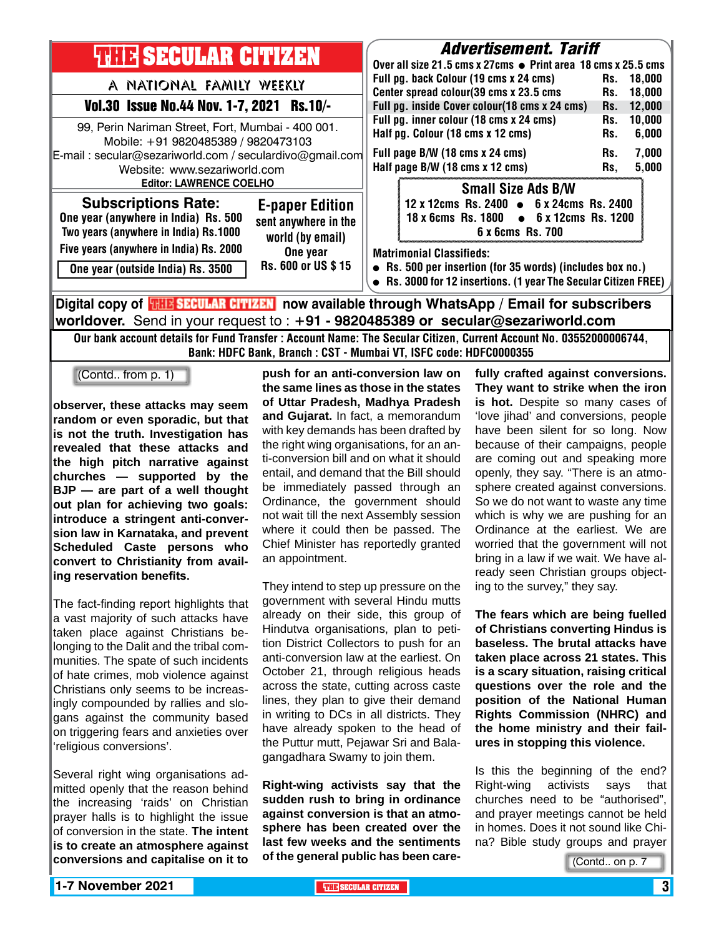| <b>THIR SECULAR CITIZEN</b>                                                                                                                                                                                         | <i><b>Advertisement. Tariff</b></i>                                                                                                                           |  |  |  |
|---------------------------------------------------------------------------------------------------------------------------------------------------------------------------------------------------------------------|---------------------------------------------------------------------------------------------------------------------------------------------------------------|--|--|--|
|                                                                                                                                                                                                                     | Over all size 21.5 cms x 27cms • Print area 18 cms x 25.5 cms                                                                                                 |  |  |  |
| A NATIONAL FAMILY WEEKLY                                                                                                                                                                                            | Full pg. back Colour (19 cms x 24 cms)<br>18.000<br>Rs.<br>Center spread colour(39 cms x 23.5 cms<br>18,000<br>Rs.                                            |  |  |  |
| Vol.30 Issue No.44 Nov. 1-7, 2021 Rs.10/-                                                                                                                                                                           | Full pg. inside Cover colour(18 cms x 24 cms)<br>12,000<br>Rs.                                                                                                |  |  |  |
| 99, Perin Nariman Street, Fort, Mumbai - 400 001.<br>Mobile: +91 9820485389 / 9820473103                                                                                                                            | Full pg. inner colour (18 cms x 24 cms)<br>10,000<br>Rs.<br>Half pg. Colour (18 cms x 12 cms)<br>Rs.<br>6,000                                                 |  |  |  |
| E-mail: secular@sezariworld.com / seculardivo@gmail.com<br>Website: www.sezariworld.com                                                                                                                             | Full page B/W (18 cms x 24 cms)<br>7,000<br>Rs.<br>Half page B/W (18 cms x 12 cms)<br>5,000<br>Rs,                                                            |  |  |  |
| <b>Editor: LAWRENCE COELHO</b><br><b>Subscriptions Rate:</b><br><b>E-paper Edition</b><br>One year (anywhere in India) Rs. 500<br>sent anywhere in the<br>Two years (anywhere in India) Rs.1000<br>world (by email) | <b>Small Size Ads B/W</b><br>12 x 12cms Rs. 2400 • 6 x 24cms Rs. 2400<br>18 x 6cms Rs. 1800 • 6 x 12cms Rs. 1200<br>6 x 6cms Rs. 700                          |  |  |  |
| Five years (anywhere in India) Rs. 2000<br>One year<br>Rs. 600 or US \$15<br>One year (outside India) Rs. 3500                                                                                                      | <b>Matrimonial Classifieds:</b><br>• Rs. 500 per insertion (for 35 words) (includes box no.)<br>Rs. 3000 for 12 insertions. (1 year The Secular Citizen FREE) |  |  |  |
|                                                                                                                                                                                                                     | Digital copy of <mark>珊瞎SECULAR CITIMAN</mark> now available through WhatsApp / Email for subscribers                                                         |  |  |  |

**worldover.** Send in your request to : **+91 - 9820485389 or secular@sezariworld.com** Our bank account details for Fund Transfer : Account Name: The Secular Citizen, Current Account No. 03552000006744, Bank: HDFC Bank, Branch : CST - Mumbai VT, ISFC code: HDFC0000355

(Contd.. from p. 1)

**observer, these attacks may seem random or even sporadic, but that is not the truth. Investigation has revealed that these attacks and the high pitch narrative against churches — supported by the BJP — are part of a well thought out plan for achieving two goals: introduce a stringent anti-conversion law in Karnataka, and prevent Scheduled Caste persons who convert to Christianity from availing reservation benefits.**

The fact-finding report highlights that a vast majority of such attacks have taken place against Christians belonging to the Dalit and the tribal communities. The spate of such incidents of hate crimes, mob violence against Christians only seems to be increasingly compounded by rallies and slogans against the community based on triggering fears and anxieties over 'religious conversions'.

Several right wing organisations admitted openly that the reason behind the increasing 'raids' on Christian prayer halls is to highlight the issue of conversion in the state. **The intent is to create an atmosphere against conversions and capitalise on it to** 

**push for an anti-conversion law on the same lines as those in the states of Uttar Pradesh, Madhya Pradesh and Gujarat.** In fact, a memorandum with key demands has been drafted by the right wing organisations, for an anti-conversion bill and on what it should entail, and demand that the Bill should be immediately passed through an Ordinance, the government should not wait till the next Assembly session where it could then be passed. The Chief Minister has reportedly granted an appointment.

They intend to step up pressure on the government with several Hindu mutts already on their side, this group of Hindutva organisations, plan to petition District Collectors to push for an anti-conversion law at the earliest. On October 21, through religious heads across the state, cutting across caste lines, they plan to give their demand in writing to DCs in all districts. They have already spoken to the head of the Puttur mutt, Pejawar Sri and Balagangadhara Swamy to join them.

**Right-wing activists say that the sudden rush to bring in ordinance against conversion is that an atmosphere has been created over the last few weeks and the sentiments of the general public has been care-** **fully crafted against conversions. They want to strike when the iron is hot.** Despite so many cases of 'love jihad' and conversions, people have been silent for so long. Now because of their campaigns, people are coming out and speaking more openly, they say. "There is an atmosphere created against conversions. So we do not want to waste any time which is why we are pushing for an Ordinance at the earliest. We are worried that the government will not bring in a law if we wait. We have already seen Christian groups objecting to the survey," they say.

**The fears which are being fuelled of Christians converting Hindus is baseless. The brutal attacks have taken place across 21 states. This is a scary situation, raising critical questions over the role and the position of the National Human Rights Commission (NHRC) and the home ministry and their failures in stopping this violence.**

Is this the beginning of the end? Right-wing activists says that churches need to be "authorised", and prayer meetings cannot be held in homes. Does it not sound like China? Bible study groups and prayer

(Contd.. on p. 7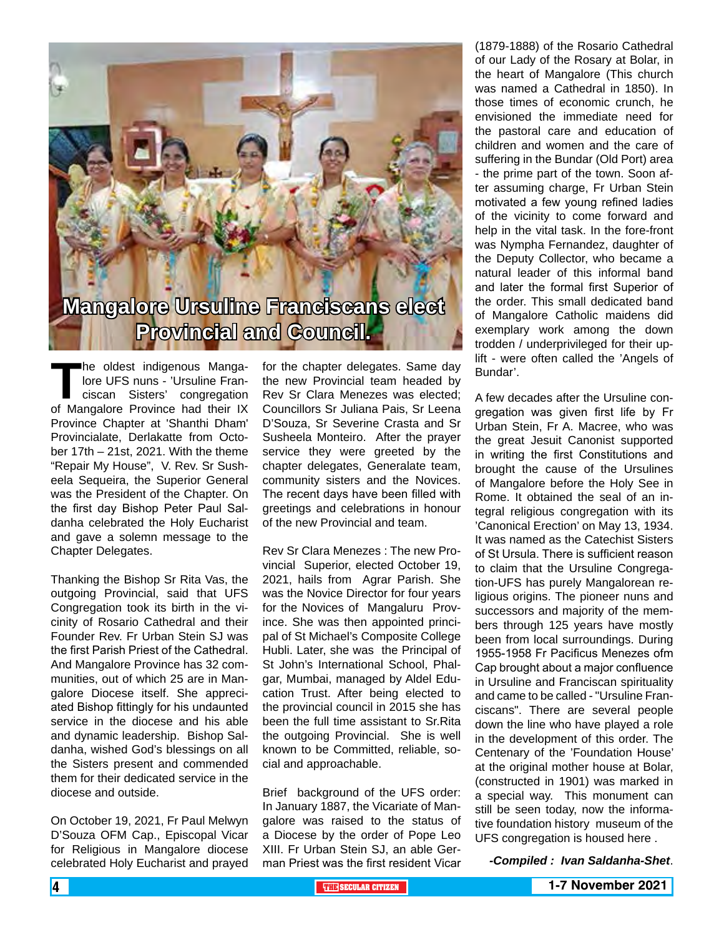

The oldest indigenous Manga-<br>
lore UFS nuns - 'Ursuline Fran-<br>
ciscan Sisters' congregation<br>
of Mangalore Province had their IX lore UFS nuns - 'Ursuline Franciscan Sisters' congregation Province Chapter at 'Shanthi Dham' Provincialate, Derlakatte from October 17th – 21st, 2021. With the theme "Repair My House", V. Rev. Sr Susheela Sequeira, the Superior General was the President of the Chapter. On the first day Bishop Peter Paul Saldanha celebrated the Holy Eucharist and gave a solemn message to the Chapter Delegates.

Thanking the Bishop Sr Rita Vas, the outgoing Provincial, said that UFS Congregation took its birth in the vicinity of Rosario Cathedral and their Founder Rev. Fr Urban Stein SJ was the first Parish Priest of the Cathedral. And Mangalore Province has 32 communities, out of which 25 are in Mangalore Diocese itself. She appreciated Bishop fittingly for his undaunted service in the diocese and his able and dynamic leadership. Bishop Saldanha, wished God's blessings on all the Sisters present and commended them for their dedicated service in the diocese and outside.

On October 19, 2021, Fr Paul Melwyn D'Souza OFM Cap., Episcopal Vicar for Religious in Mangalore diocese celebrated Holy Eucharist and prayed

for the chapter delegates. Same day the new Provincial team headed by Rev Sr Clara Menezes was elected; Councillors Sr Juliana Pais, Sr Leena D'Souza, Sr Severine Crasta and Sr Susheela Monteiro. After the prayer service they were greeted by the chapter delegates, Generalate team, community sisters and the Novices. The recent days have been filled with greetings and celebrations in honour of the new Provincial and team.

Rev Sr Clara Menezes : The new Provincial Superior, elected October 19, 2021, hails from Agrar Parish. She was the Novice Director for four years for the Novices of Mangaluru Province. She was then appointed principal of St Michael's Composite College Hubli. Later, she was the Principal of St John's International School, Phalgar, Mumbai, managed by Aldel Education Trust. After being elected to the provincial council in 2015 she has been the full time assistant to Sr.Rita the outgoing Provincial. She is well known to be Committed, reliable, social and approachable.

Brief background of the UFS order: In January 1887, the Vicariate of Mangalore was raised to the status of a Diocese by the order of Pope Leo XIII. Fr Urban Stein SJ, an able German Priest was the first resident Vicar

(1879-1888) of the Rosario Cathedral of our Lady of the Rosary at Bolar, in the heart of Mangalore (This church was named a Cathedral in 1850). In those times of economic crunch, he envisioned the immediate need for the pastoral care and education of children and women and the care of suffering in the Bundar (Old Port) area - the prime part of the town. Soon after assuming charge, Fr Urban Stein motivated a few young refined ladies of the vicinity to come forward and help in the vital task. In the fore-front was Nympha Fernandez, daughter of the Deputy Collector, who became a natural leader of this informal band and later the formal first Superior of the order. This small dedicated band of Mangalore Catholic maidens did exemplary work among the down trodden / underprivileged for their uplift - were often called the 'Angels of Bundar'.

A few decades after the Ursuline congregation was given first life by Fr Urban Stein, Fr A. Macree, who was the great Jesuit Canonist supported in writing the first Constitutions and brought the cause of the Ursulines of Mangalore before the Holy See in Rome. It obtained the seal of an integral religious congregation with its 'Canonical Erection' on May 13, 1934. It was named as the Catechist Sisters of St Ursula. There is sufficient reason to claim that the Ursuline Congregation-UFS has purely Mangalorean religious origins. The pioneer nuns and successors and majority of the members through 125 years have mostly been from local surroundings. During 1955-1958 Fr Pacificus Menezes ofm Cap brought about a major confluence in Ursuline and Franciscan spirituality and came to be called - "Ursuline Franciscans". There are several people down the line who have played a role in the development of this order. The Centenary of the 'Foundation House' at the original mother house at Bolar, (constructed in 1901) was marked in a special way. This monument can still be seen today, now the informative foundation history museum of the UFS congregation is housed here .

*-Compiled : Ivan Saldanha-Shet*.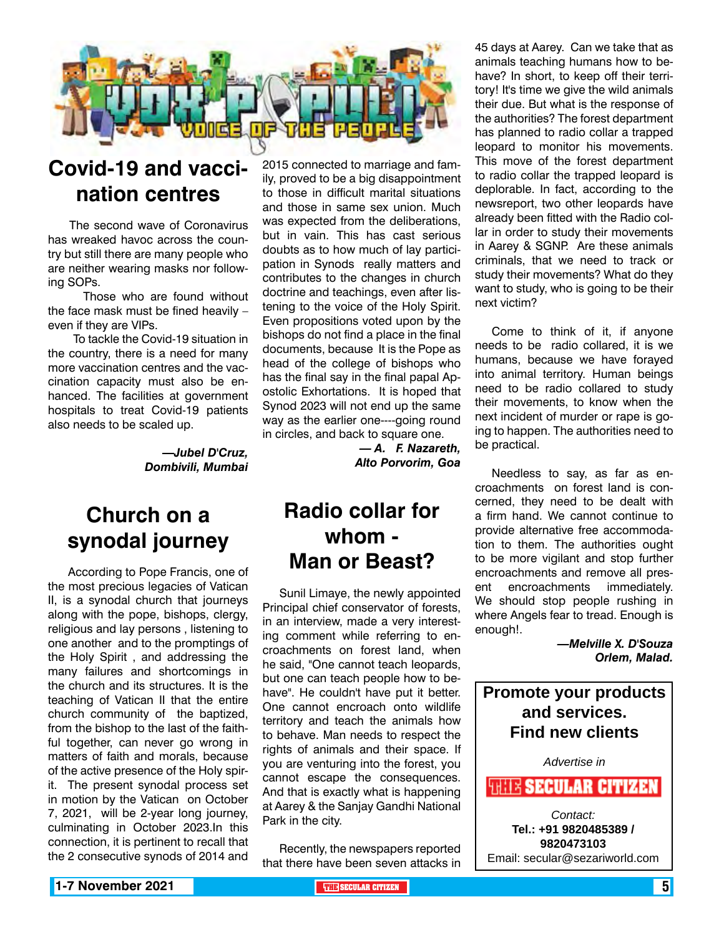

### **Covid-19 and vaccination centres**

 The second wave of Coronavirus has wreaked havoc across the country but still there are many people who are neither wearing masks nor following SOPs.

 Those who are found without the face mask must be fined heavily – even if they are VIPs.

 To tackle the Covid-19 situation in the country, there is a need for many more vaccination centres and the vaccination capacity must also be enhanced. The facilities at government hospitals to treat Covid-19 patients also needs to be scaled up.

> *—Jubel D'Cruz, Dombivili, Mumbai*

### **Church on a synodal journey**

 According to Pope Francis, one of the most precious legacies of Vatican II, is a synodal church that journeys along with the pope, bishops, clergy, religious and lay persons , listening to one another and to the promptings of the Holy Spirit , and addressing the many failures and shortcomings in the church and its structures. It is the teaching of Vatican II that the entire church community of the baptized, from the bishop to the last of the faithful together, can never go wrong in matters of faith and morals, because of the active presence of the Holy spirit. The present synodal process set in motion by the Vatican on October 7, 2021, will be 2-year long journey, culminating in October 2023.In this connection, it is pertinent to recall that the 2 consecutive synods of 2014 and

2015 connected to marriage and family, proved to be a big disappointment to those in difficult marital situations and those in same sex union. Much was expected from the deliberations, but in vain. This has cast serious doubts as to how much of lay participation in Synods really matters and contributes to the changes in church doctrine and teachings, even after listening to the voice of the Holy Spirit. Even propositions voted upon by the bishops do not find a place in the final documents, because It is the Pope as head of the college of bishops who has the final say in the final papal Apostolic Exhortations. It is hoped that Synod 2023 will not end up the same way as the earlier one----going round in circles, and back to square one.

> *— A. F. Nazareth, Alto Porvorim, Goa*

### **Radio collar for whom - Man or Beast?**

Sunil Limaye, the newly appointed Principal chief conservator of forests, in an interview, made a very interesting comment while referring to encroachments on forest land, when he said, "One cannot teach leopards, but one can teach people how to behave". He couldn't have put it better. One cannot encroach onto wildlife territory and teach the animals how to behave. Man needs to respect the rights of animals and their space. If you are venturing into the forest, you cannot escape the consequences. And that is exactly what is happening at Aarey & the Sanjay Gandhi National Park in the city.

Recently, the newspapers reported that there have been seven attacks in

45 days at Aarey. Can we take that as animals teaching humans how to behave? In short, to keep off their territory! It's time we give the wild animals their due. But what is the response of the authorities? The forest department has planned to radio collar a trapped leopard to monitor his movements. This move of the forest department to radio collar the trapped leopard is deplorable. In fact, according to the newsreport, two other leopards have already been fitted with the Radio collar in order to study their movements in Aarey & SGNP. Are these animals criminals, that we need to track or study their movements? What do they want to study, who is going to be their next victim?

Come to think of it, if anyone needs to be radio collared, it is we humans, because we have forayed into animal territory. Human beings need to be radio collared to study their movements, to know when the next incident of murder or rape is going to happen. The authorities need to be practical.

Needless to say, as far as encroachments on forest land is concerned, they need to be dealt with a firm hand. We cannot continue to provide alternative free accommodation to them. The authorities ought to be more vigilant and stop further encroachments and remove all present encroachments immediately. We should stop people rushing in where Angels fear to tread. Enough is enough!.

> *—Melville X. D'Souza Orlem, Malad.*

**Promote your products and services. Find new clients**

*Advertise in*

**HHIIX SECULAR CITIZEN** 

*Contact:* **Tel.: +91 9820485389 / 9820473103** Email: secular@sezariworld.com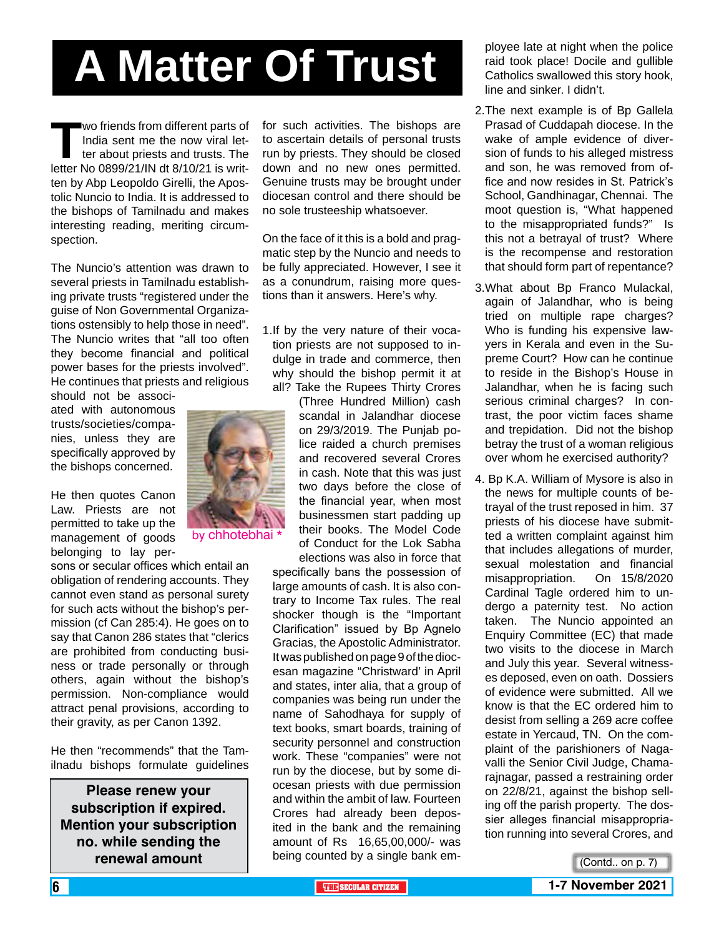# **A Matter Of Trust**

**The Term of Franch Strom different parts of India sent me the now viral letter about priests and trusts. The letter No 0899/21/IN dt 8/10/21 is writ-**India sent me the now viral letter about priests and trusts. The ten by Abp Leopoldo Girelli, the Apostolic Nuncio to India. It is addressed to the bishops of Tamilnadu and makes interesting reading, meriting circumspection.

The Nuncio's attention was drawn to several priests in Tamilnadu establishing private trusts "registered under the guise of Non Governmental Organizations ostensibly to help those in need". The Nuncio writes that "all too often they become financial and political power bases for the priests involved". He continues that priests and religious

should not be associated with autonomous trusts/societies/companies, unless they are specifically approved by the bishops concerned.

He then quotes Canon Law. Priests are not permitted to take up the management of goods belonging to lay per-

sons or secular offices which entail an obligation of rendering accounts. They cannot even stand as personal surety for such acts without the bishop's permission (cf Can 285:4). He goes on to say that Canon 286 states that "clerics are prohibited from conducting business or trade personally or through others, again without the bishop's permission. Non-compliance would attract penal provisions, according to their gravity, as per Canon 1392.

He then "recommends" that the Tamilnadu bishops formulate guidelines

**Please renew your subscription if expired. Mention your subscription no. while sending the renewal amount**

for such activities. The bishops are to ascertain details of personal trusts run by priests. They should be closed down and no new ones permitted. Genuine trusts may be brought under diocesan control and there should be no sole trusteeship whatsoever.

On the face of it this is a bold and pragmatic step by the Nuncio and needs to be fully appreciated. However, I see it as a conundrum, raising more questions than it answers. Here's why.

1.If by the very nature of their vocation priests are not supposed to indulge in trade and commerce, then why should the bishop permit it at all? Take the Rupees Thirty Crores

(Three Hundred Million) cash scandal in Jalandhar diocese on 29/3/2019. The Punjab police raided a church premises and recovered several Crores in cash. Note that this was just two days before the close of the financial year, when most businessmen start padding up their books. The Model Code of Conduct for the Lok Sabha elections was also in force that

specifically bans the possession of large amounts of cash. It is also contrary to Income Tax rules. The real shocker though is the "Important Clarification" issued by Bp Agnelo Gracias, the Apostolic Administrator. It was published on page 9 of the diocesan magazine "Christward' in April and states, inter alia, that a group of companies was being run under the name of Sahodhaya for supply of text books, smart boards, training of security personnel and construction work. These "companies" were not run by the diocese, but by some diocesan priests with due permission and within the ambit of law. Fourteen Crores had already been deposited in the bank and the remaining amount of Rs 16,65,00,000/- was being counted by a single bank employee late at night when the police raid took place! Docile and gullible Catholics swallowed this story hook, line and sinker. I didn't.

- 2.The next example is of Bp Gallela Prasad of Cuddapah diocese. In the wake of ample evidence of diversion of funds to his alleged mistress and son, he was removed from office and now resides in St. Patrick's School, Gandhinagar, Chennai. The moot question is, "What happened to the misappropriated funds?" Is this not a betrayal of trust? Where is the recompense and restoration that should form part of repentance?
- 3.What about Bp Franco Mulackal, again of Jalandhar, who is being tried on multiple rape charges? Who is funding his expensive lawyers in Kerala and even in the Supreme Court? How can he continue to reside in the Bishop's House in Jalandhar, when he is facing such serious criminal charges? In contrast, the poor victim faces shame and trepidation. Did not the bishop betray the trust of a woman religious over whom he exercised authority?
- 4. Bp K.A. William of Mysore is also in the news for multiple counts of betrayal of the trust reposed in him. 37 priests of his diocese have submitted a written complaint against him that includes allegations of murder, sexual molestation and financial misappropriation. On 15/8/2020 Cardinal Tagle ordered him to undergo a paternity test. No action taken. The Nuncio appointed an Enquiry Committee (EC) that made two visits to the diocese in March and July this year. Several witnesses deposed, even on oath. Dossiers of evidence were submitted. All we know is that the EC ordered him to desist from selling a 269 acre coffee estate in Yercaud, TN. On the complaint of the parishioners of Nagavalli the Senior Civil Judge, Chamarajnagar, passed a restraining order on 22/8/21, against the bishop selling off the parish property. The dossier alleges financial misappropriation running into several Crores, and

(Contd.. on p. 7)

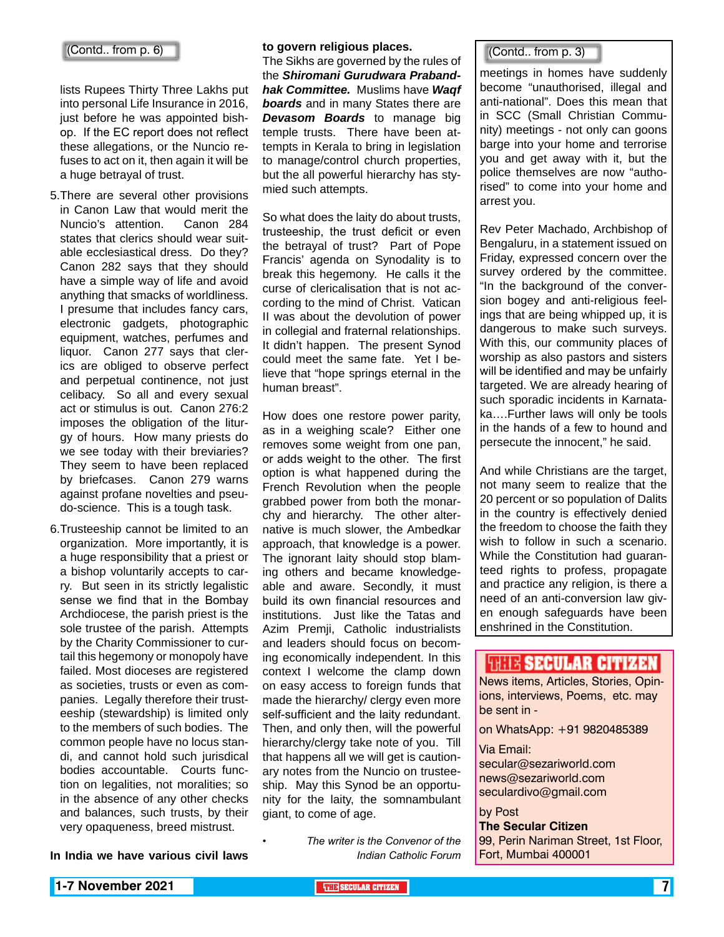lists Rupees Thirty Three Lakhs put into personal Life Insurance in 2016, just before he was appointed bishop. If the EC report does not reflect these allegations, or the Nuncio refuses to act on it, then again it will be a huge betrayal of trust.

- 5.There are several other provisions in Canon Law that would merit the Nuncio's attention. Canon 284 states that clerics should wear suitable ecclesiastical dress. Do they? Canon 282 says that they should have a simple way of life and avoid anything that smacks of worldliness. I presume that includes fancy cars, electronic gadgets, photographic equipment, watches, perfumes and liquor. Canon 277 says that clerics are obliged to observe perfect and perpetual continence, not just celibacy. So all and every sexual act or stimulus is out. Canon 276:2 imposes the obligation of the liturgy of hours. How many priests do we see today with their breviaries? They seem to have been replaced by briefcases. Canon 279 warns against profane novelties and pseudo-science. This is a tough task.
- 6.Trusteeship cannot be limited to an organization. More importantly, it is a huge responsibility that a priest or a bishop voluntarily accepts to carry. But seen in its strictly legalistic sense we find that in the Bombay Archdiocese, the parish priest is the sole trustee of the parish. Attempts by the Charity Commissioner to curtail this hegemony or monopoly have failed. Most dioceses are registered as societies, trusts or even as companies. Legally therefore their trusteeship (stewardship) is limited only to the members of such bodies. The common people have no locus standi, and cannot hold such jurisdical bodies accountable. Courts function on legalities, not moralities; so in the absence of any other checks and balances, such trusts, by their very opaqueness, breed mistrust.

**In India we have various civil laws** 

### **to govern religious places.**

The Sikhs are governed by the rules of the *Shiromani Gurudwara Prabandhak Committee.* Muslims have *Waqf boards* and in many States there are *Devasom Boards* to manage big temple trusts. There have been attempts in Kerala to bring in legislation to manage/control church properties, but the all powerful hierarchy has stymied such attempts.

So what does the laity do about trusts, trusteeship, the trust deficit or even the betrayal of trust? Part of Pope Francis' agenda on Synodality is to break this hegemony. He calls it the curse of clericalisation that is not according to the mind of Christ. Vatican II was about the devolution of power in collegial and fraternal relationships. It didn't happen. The present Synod could meet the same fate. Yet I believe that "hope springs eternal in the human breast".

How does one restore power parity, as in a weighing scale? Either one removes some weight from one pan, or adds weight to the other. The first option is what happened during the French Revolution when the people grabbed power from both the monarchy and hierarchy. The other alternative is much slower, the Ambedkar approach, that knowledge is a power. The ignorant laity should stop blaming others and became knowledgeable and aware. Secondly, it must build its own financial resources and institutions. Just like the Tatas and Azim Premji, Catholic industrialists and leaders should focus on becoming economically independent. In this context I welcome the clamp down on easy access to foreign funds that made the hierarchy/ clergy even more self-sufficient and the laity redundant. Then, and only then, will the powerful hierarchy/clergy take note of you. Till that happens all we will get is cautionary notes from the Nuncio on trusteeship. May this Synod be an opportunity for the laity, the somnambulant giant, to come of age.

> *• The writer is the Convenor of the Indian Catholic Forum*

meetings in homes have suddenly become "unauthorised, illegal and anti-national". Does this mean that in SCC (Small Christian Community) meetings - not only can goons barge into your home and terrorise you and get away with it, but the police themselves are now "authorised" to come into your home and arrest you.

Rev Peter Machado, Archbishop of Bengaluru, in a statement issued on Friday, expressed concern over the survey ordered by the committee. "In the background of the conversion bogey and anti-religious feelings that are being whipped up, it is dangerous to make such surveys. With this, our community places of worship as also pastors and sisters will be identified and may be unfairly targeted. We are already hearing of such sporadic incidents in Karnataka….Further laws will only be tools in the hands of a few to hound and persecute the innocent," he said.

And while Christians are the target, not many seem to realize that the 20 percent or so population of Dalits in the country is effectively denied the freedom to choose the faith they wish to follow in such a scenario. While the Constitution had guaranteed rights to profess, propagate and practice any religion, is there a need of an anti-conversion law given enough safeguards have been enshrined in the Constitution.

### **THEIR SECULAR CITIZEN**

News items, Articles, Stories, Opinions, interviews, Poems, etc. may be sent in -

on WhatsApp: +91 9820485389

#### Via Email:

secular@sezariworld.com news@sezariworld.com seculardivo@gmail.com

### by Post

**The Secular Citizen** 99, Perin Nariman Street, 1st Floor, Fort, Mumbai 400001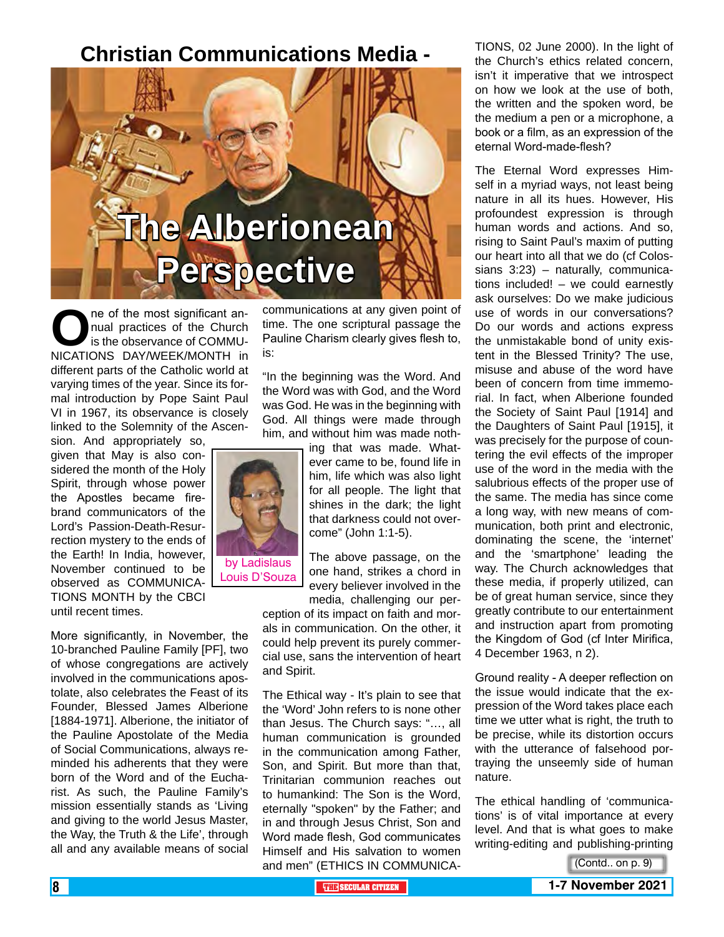### **Christian Communications Media -**



**O**ne of the most significant an-<br>
is the observance of COMMU-<br>
NICATIONS DAY/WEEK/MONTH in nual practices of the Church is the observance of COMMU-NICATIONS DAY/WEEK/MONTH in different parts of the Catholic world at varying times of the year. Since its formal introduction by Pope Saint Paul VI in 1967, its observance is closely linked to the Solemnity of the Ascen-

sion. And appropriately so, given that May is also considered the month of the Holy Spirit, through whose power the Apostles became firebrand communicators of the Lord's Passion-Death-Resurrection mystery to the ends of the Earth! In India, however, November continued to be observed as COMMUNICA-TIONS MONTH by the CBCI until recent times.

More significantly, in November, the 10-branched Pauline Family [PF], two of whose congregations are actively involved in the communications apostolate, also celebrates the Feast of its Founder, Blessed James Alberione [1884-1971]. Alberione, the initiator of the Pauline Apostolate of the Media of Social Communications, always reminded his adherents that they were born of the Word and of the Eucharist. As such, the Pauline Family's mission essentially stands as 'Living and giving to the world Jesus Master, the Way, the Truth & the Life', through all and any available means of social

communications at any given point of time. The one scriptural passage the Pauline Charism clearly gives flesh to, is:

"In the beginning was the Word. And the Word was with God, and the Word was God. He was in the beginning with God. All things were made through him, and without him was made noth-



Louis D'Souza

him, life which was also light for all people. The light that shines in the dark; the light that darkness could not overcome" (John 1:1-5). The above passage, on the

ing that was made. Whatever came to be, found life in

one hand, strikes a chord in every believer involved in the media, challenging our per-

ception of its impact on faith and morals in communication. On the other, it could help prevent its purely commercial use, sans the intervention of heart and Spirit.

The Ethical way - It's plain to see that the 'Word' John refers to is none other than Jesus. The Church says: "…, all human communication is grounded in the communication among Father, Son, and Spirit. But more than that, Trinitarian communion reaches out to humankind: The Son is the Word, eternally "spoken" by the Father; and in and through Jesus Christ, Son and Word made flesh, God communicates Himself and His salvation to women and men" (ETHICS IN COMMUNICA-

TIONS, 02 June 2000). In the light of the Church's ethics related concern, isn't it imperative that we introspect on how we look at the use of both, the written and the spoken word, be the medium a pen or a microphone, a book or a film, as an expression of the eternal Word-made-flesh?

The Eternal Word expresses Himself in a myriad ways, not least being nature in all its hues. However, His profoundest expression is through human words and actions. And so, rising to Saint Paul's maxim of putting our heart into all that we do (cf Colossians 3:23) – naturally, communications included! – we could earnestly ask ourselves: Do we make judicious use of words in our conversations? Do our words and actions express the unmistakable bond of unity existent in the Blessed Trinity? The use, misuse and abuse of the word have been of concern from time immemorial. In fact, when Alberione founded the Society of Saint Paul [1914] and the Daughters of Saint Paul [1915], it was precisely for the purpose of countering the evil effects of the improper use of the word in the media with the salubrious effects of the proper use of the same. The media has since come a long way, with new means of communication, both print and electronic, dominating the scene, the 'internet' and the 'smartphone' leading the way. The Church acknowledges that these media, if properly utilized, can be of great human service, since they greatly contribute to our entertainment and instruction apart from promoting the Kingdom of God (cf Inter Mirifica, 4 December 1963, n 2).

Ground reality - A deeper reflection on the issue would indicate that the expression of the Word takes place each time we utter what is right, the truth to be precise, while its distortion occurs with the utterance of falsehood portraying the unseemly side of human nature.

The ethical handling of 'communications' is of vital importance at every level. And that is what goes to make writing-editing and publishing-printing

(Contd.. on p. 9)

**8 THE EXECUTIVE SECULAR CITIZEN 1-7 November 2021**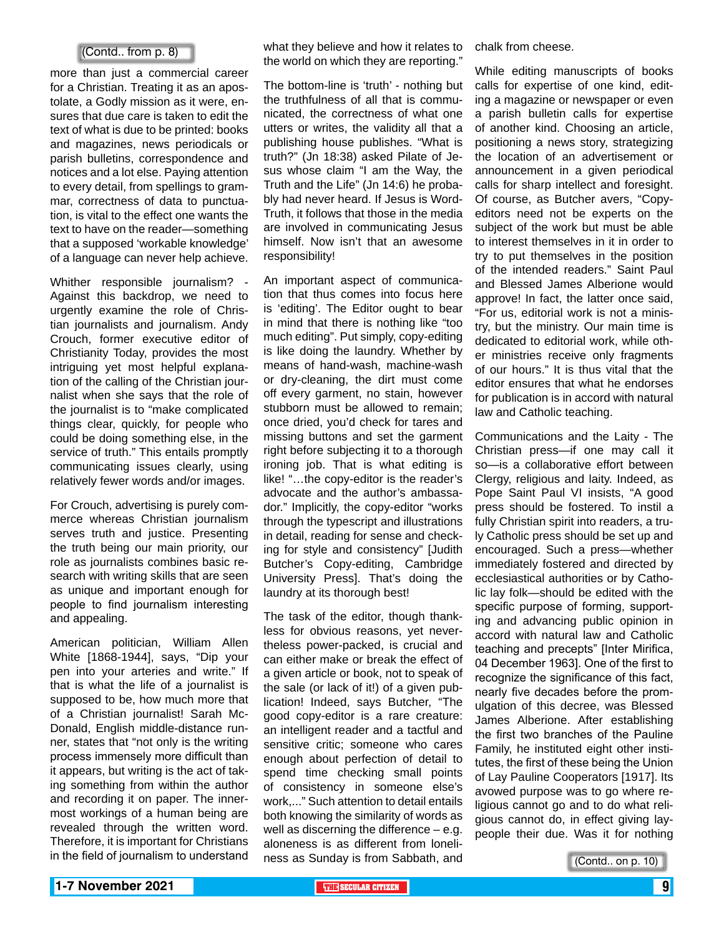### (Contd.. from p. 8)

more than just a commercial career for a Christian. Treating it as an apostolate, a Godly mission as it were, ensures that due care is taken to edit the text of what is due to be printed: books and magazines, news periodicals or parish bulletins, correspondence and notices and a lot else. Paying attention to every detail, from spellings to grammar, correctness of data to punctuation, is vital to the effect one wants the text to have on the reader—something that a supposed 'workable knowledge' of a language can never help achieve.

Whither responsible journalism? -Against this backdrop, we need to urgently examine the role of Christian journalists and journalism. Andy Crouch, former executive editor of Christianity Today, provides the most intriguing yet most helpful explanation of the calling of the Christian journalist when she says that the role of the journalist is to "make complicated things clear, quickly, for people who could be doing something else, in the service of truth." This entails promptly communicating issues clearly, using relatively fewer words and/or images.

For Crouch, advertising is purely commerce whereas Christian journalism serves truth and justice. Presenting the truth being our main priority, our role as journalists combines basic research with writing skills that are seen as unique and important enough for people to find journalism interesting and appealing.

American politician, William Allen White [1868-1944], says, "Dip your pen into your arteries and write." If that is what the life of a journalist is supposed to be, how much more that of a Christian journalist! Sarah Mc-Donald, English middle-distance runner, states that "not only is the writing process immensely more difficult than it appears, but writing is the act of taking something from within the author and recording it on paper. The innermost workings of a human being are revealed through the written word. Therefore, it is important for Christians in the field of journalism to understand what they believe and how it relates to the world on which they are reporting."

The bottom-line is 'truth' - nothing but the truthfulness of all that is communicated, the correctness of what one utters or writes, the validity all that a publishing house publishes. "What is truth?" (Jn 18:38) asked Pilate of Jesus whose claim "I am the Way, the Truth and the Life" (Jn 14:6) he probably had never heard. If Jesus is Word-Truth, it follows that those in the media are involved in communicating Jesus himself. Now isn't that an awesome responsibility!

An important aspect of communication that thus comes into focus here is 'editing'. The Editor ought to bear in mind that there is nothing like "too much editing". Put simply, copy-editing is like doing the laundry. Whether by means of hand-wash, machine-wash or dry-cleaning, the dirt must come off every garment, no stain, however stubborn must be allowed to remain; once dried, you'd check for tares and missing buttons and set the garment right before subjecting it to a thorough ironing job. That is what editing is like! "…the copy-editor is the reader's advocate and the author's ambassador." Implicitly, the copy-editor "works through the typescript and illustrations in detail, reading for sense and checking for style and consistency" [Judith Butcher's Copy-editing, Cambridge University Press]. That's doing the laundry at its thorough best!

The task of the editor, though thankless for obvious reasons, yet nevertheless power-packed, is crucial and can either make or break the effect of a given article or book, not to speak of the sale (or lack of it!) of a given publication! Indeed, says Butcher, "The good copy-editor is a rare creature: an intelligent reader and a tactful and sensitive critic; someone who cares enough about perfection of detail to spend time checking small points of consistency in someone else's work,..." Such attention to detail entails both knowing the similarity of words as well as discerning the difference – e.g. aloneness is as different from loneliness as Sunday is from Sabbath, and

chalk from cheese.

While editing manuscripts of books calls for expertise of one kind, editing a magazine or newspaper or even a parish bulletin calls for expertise of another kind. Choosing an article, positioning a news story, strategizing the location of an advertisement or announcement in a given periodical calls for sharp intellect and foresight. Of course, as Butcher avers, "Copyeditors need not be experts on the subject of the work but must be able to interest themselves in it in order to try to put themselves in the position of the intended readers." Saint Paul and Blessed James Alberione would approve! In fact, the latter once said, "For us, editorial work is not a ministry, but the ministry. Our main time is dedicated to editorial work, while other ministries receive only fragments of our hours." It is thus vital that the editor ensures that what he endorses for publication is in accord with natural law and Catholic teaching.

Communications and the Laity - The Christian press—if one may call it so—is a collaborative effort between Clergy, religious and laity. Indeed, as Pope Saint Paul VI insists, "A good press should be fostered. To instil a fully Christian spirit into readers, a truly Catholic press should be set up and encouraged. Such a press—whether immediately fostered and directed by ecclesiastical authorities or by Catholic lay folk—should be edited with the specific purpose of forming, supporting and advancing public opinion in accord with natural law and Catholic teaching and precepts" [Inter Mirifica, 04 December 1963]. One of the first to recognize the significance of this fact, nearly five decades before the promulgation of this decree, was Blessed James Alberione. After establishing the first two branches of the Pauline Family, he instituted eight other institutes, the first of these being the Union of Lay Pauline Cooperators [1917]. Its avowed purpose was to go where religious cannot go and to do what religious cannot do, in effect giving laypeople their due. Was it for nothing

(Contd.. on p. 10)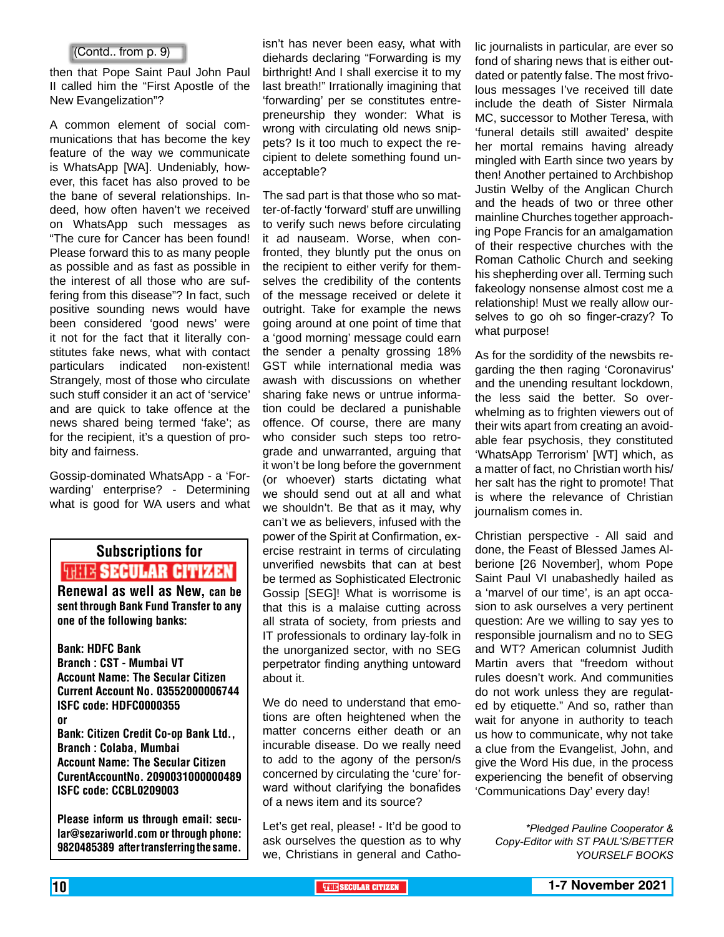### (Contd.. from p. 9)

then that Pope Saint Paul John Paul II called him the "First Apostle of the New Evangelization"?

A common element of social communications that has become the key feature of the way we communicate is WhatsApp [WA]. Undeniably, however, this facet has also proved to be the bane of several relationships. Indeed, how often haven't we received on WhatsApp such messages as "The cure for Cancer has been found! Please forward this to as many people as possible and as fast as possible in the interest of all those who are suffering from this disease"? In fact, such positive sounding news would have been considered 'good news' were it not for the fact that it literally constitutes fake news, what with contact particulars indicated non-existent! Strangely, most of those who circulate such stuff consider it an act of 'service' and are quick to take offence at the news shared being termed 'fake'; as for the recipient, it's a question of probity and fairness.

Gossip-dominated WhatsApp - a 'Forwarding' enterprise? - Determining what is good for WA users and what

### Subscriptions for **RENEW SECULAR CITIZEN**<br>Renewal as well as New, can be

sent through Bank Fund Transfer to any one of the following banks:

Bank: HDFC Bank Branch : CST - Mumbai VT Account Name: The Secular Citizen Current Account No. 03552000006744 ISFC code: HDFC0000355 or Bank: Citizen Credit Co-op Bank Ltd., Branch : Colaba, Mumbai Account Name: The Secular Citizen CurentAccountNo. 2090031000000489 ISFC code: CCBL0209003

Please inform us through email: secular@sezariworld.com or through phone: 9820485389 after transferring the same.

isn't has never been easy, what with diehards declaring "Forwarding is my birthright! And I shall exercise it to my last breath!" Irrationally imagining that 'forwarding' per se constitutes entrepreneurship they wonder: What is wrong with circulating old news snippets? Is it too much to expect the recipient to delete something found unacceptable?

The sad part is that those who so matter-of-factly 'forward' stuff are unwilling to verify such news before circulating it ad nauseam. Worse, when confronted, they bluntly put the onus on the recipient to either verify for themselves the credibility of the contents of the message received or delete it outright. Take for example the news going around at one point of time that a 'good morning' message could earn the sender a penalty grossing 18% GST while international media was awash with discussions on whether sharing fake news or untrue information could be declared a punishable offence. Of course, there are many who consider such steps too retrograde and unwarranted, arguing that it won't be long before the government (or whoever) starts dictating what we should send out at all and what we shouldn't. Be that as it may, why can't we as believers, infused with the power of the Spirit at Confirmation, exercise restraint in terms of circulating unverified newsbits that can at best be termed as Sophisticated Electronic Gossip [SEG]! What is worrisome is that this is a malaise cutting across all strata of society, from priests and IT professionals to ordinary lay-folk in the unorganized sector, with no SEG perpetrator finding anything untoward about it.

We do need to understand that emotions are often heightened when the matter concerns either death or an incurable disease. Do we really need to add to the agony of the person/s concerned by circulating the 'cure' forward without clarifying the bonafides of a news item and its source?

Let's get real, please! - It'd be good to ask ourselves the question as to why we, Christians in general and Catho-

lic journalists in particular, are ever so fond of sharing news that is either outdated or patently false. The most frivolous messages I've received till date include the death of Sister Nirmala MC, successor to Mother Teresa, with 'funeral details still awaited' despite her mortal remains having already mingled with Earth since two years by then! Another pertained to Archbishop Justin Welby of the Anglican Church and the heads of two or three other mainline Churches together approaching Pope Francis for an amalgamation of their respective churches with the Roman Catholic Church and seeking his shepherding over all. Terming such fakeology nonsense almost cost me a relationship! Must we really allow ourselves to go oh so finger-crazy? To what purpose!

As for the sordidity of the newsbits regarding the then raging 'Coronavirus' and the unending resultant lockdown, the less said the better. So overwhelming as to frighten viewers out of their wits apart from creating an avoidable fear psychosis, they constituted 'WhatsApp Terrorism' [WT] which, as a matter of fact, no Christian worth his/ her salt has the right to promote! That is where the relevance of Christian journalism comes in.

Christian perspective - All said and done, the Feast of Blessed James Alberione [26 November], whom Pope Saint Paul VI unabashedly hailed as a 'marvel of our time', is an apt occasion to ask ourselves a very pertinent question: Are we willing to say yes to responsible journalism and no to SEG and WT? American columnist Judith Martin avers that "freedom without rules doesn't work. And communities do not work unless they are regulated by etiquette." And so, rather than wait for anyone in authority to teach us how to communicate, why not take a clue from the Evangelist, John, and give the Word His due, in the process experiencing the benefit of observing 'Communications Day' every day!

*\*Pledged Pauline Cooperator & Copy-Editor with ST PAUL'S/BETTER YOURSELF BOOKS*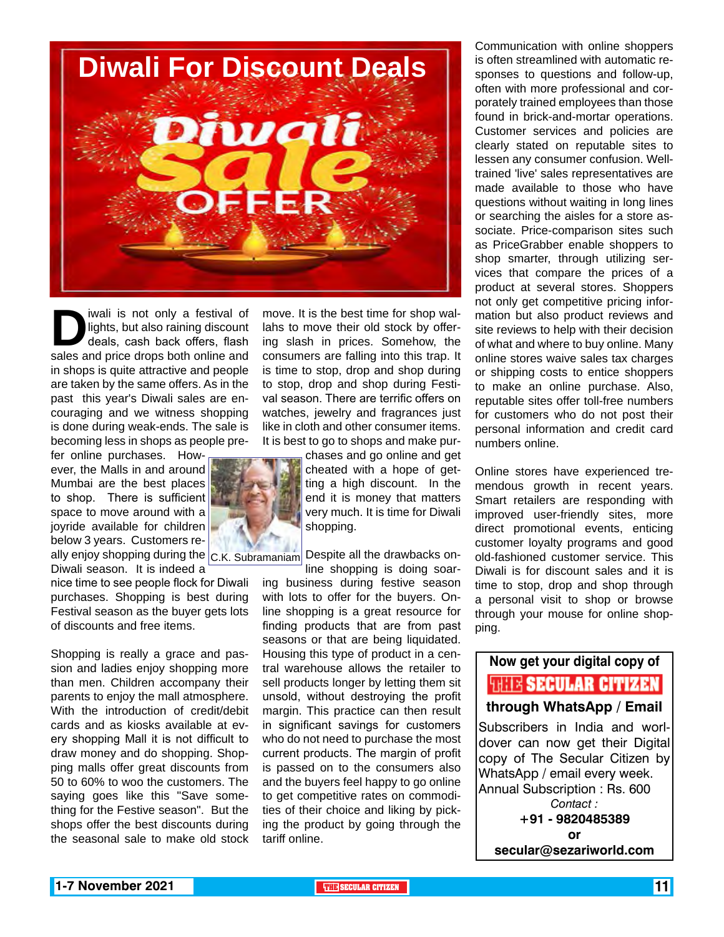

**D**ivali is not only a festival of lights, but also raining discount deals, cash back offers, flash sales and price drops both online and lights, but also raining discount deals, cash back offers, flash sales and price drops both online and in shops is quite attractive and people are taken by the same offers. As in the past this year's Diwali sales are encouraging and we witness shopping is done during weak-ends. The sale is becoming less in shops as people pre-

fer online purchases. However, the Malls in and around Mumbai are the best places to shop. There is sufficient space to move around with a joyride available for children below 3 years. Customers really enjoy shopping during the  $|_{\mathsf{C}.\mathsf{K}.}$   $_\mathsf{Subramanian}|$  Despite all the drawbacks on-Diwali season. It is indeed a

nice time to see people flock for Diwali purchases. Shopping is best during Festival season as the buyer gets lots of discounts and free items.

Shopping is really a grace and passion and ladies enjoy shopping more than men. Children accompany their parents to enjoy the mall atmosphere. With the introduction of credit/debit cards and as kiosks available at every shopping Mall it is not difficult to draw money and do shopping. Shopping malls offer great discounts from 50 to 60% to woo the customers. The saying goes like this "Save something for the Festive season". But the shops offer the best discounts during the seasonal sale to make old stock

move. It is the best time for shop wallahs to move their old stock by offering slash in prices. Somehow, the consumers are falling into this trap. It is time to stop, drop and shop during to stop, drop and shop during Festival season. There are terrific offers on watches, jewelry and fragrances just like in cloth and other consumer items. It is best to go to shops and make pur-

> chases and go online and get cheated with a hope of getting a high discount. In the end it is money that matters very much. It is time for Diwali shopping.

line shopping is doing soaring business during festive season with lots to offer for the buyers. Online shopping is a great resource for finding products that are from past seasons or that are being liquidated. Housing this type of product in a central warehouse allows the retailer to sell products longer by letting them sit unsold, without destroying the profit margin. This practice can then result in significant savings for customers who do not need to purchase the most current products. The margin of profit is passed on to the consumers also and the buyers feel happy to go online to get competitive rates on commodities of their choice and liking by picking the product by going through the tariff online.

Communication with online shoppers is often streamlined with automatic responses to questions and follow-up, often with more professional and corporately trained employees than those found in brick-and-mortar operations. Customer services and policies are clearly stated on reputable sites to lessen any consumer confusion. Welltrained 'live' sales representatives are made available to those who have questions without waiting in long lines or searching the aisles for a store associate. Price-comparison sites such as PriceGrabber enable shoppers to shop smarter, through utilizing services that compare the prices of a product at several stores. Shoppers not only get competitive pricing information but also product reviews and site reviews to help with their decision of what and where to buy online. Many online stores waive sales tax charges or shipping costs to entice shoppers to make an online purchase. Also, reputable sites offer toll-free numbers for customers who do not post their personal information and credit card numbers online.

Online stores have experienced tremendous growth in recent years. Smart retailers are responding with improved user-friendly sites, more direct promotional events, enticing customer loyalty programs and good old-fashioned customer service. This Diwali is for discount sales and it is time to stop, drop and shop through a personal visit to shop or browse through your mouse for online shopping.

### **Now get your digital copy of WHE SECULAR CITIZEN through WhatsApp / Email**

Subscribers in India and worldover can now get their Digital copy of The Secular Citizen by WhatsApp / email every week. Annual Subscription : Rs. 600 *Contact :* **+91 - 9820485389 or** 

**secular@sezariworld.com**

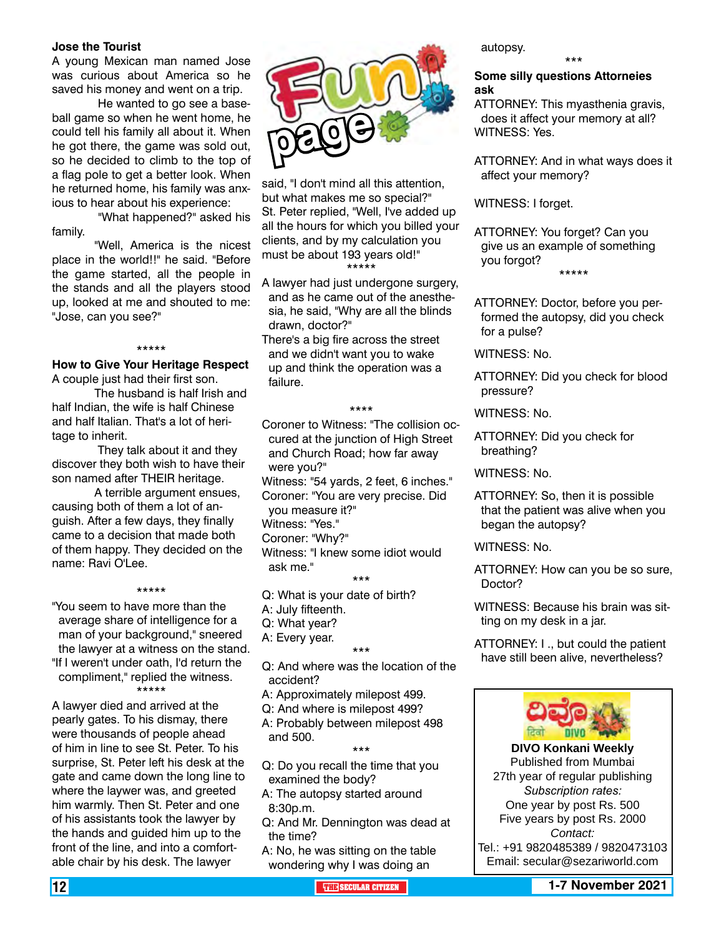#### **Jose the Tourist**

A young Mexican man named Jose was curious about America so he saved his money and went on a trip.

 He wanted to go see a baseball game so when he went home, he could tell his family all about it. When he got there, the game was sold out, so he decided to climb to the top of a flag pole to get a better look. When he returned home, his family was anxious to hear about his experience:

"What happened?" asked his family.

"Well, America is the nicest place in the world!!" he said. "Before the game started, all the people in the stands and all the players stood up, looked at me and shouted to me: "Jose, can you see?"

\*\*\*\*\*

#### **How to Give Your Heritage Respect** A couple just had their first son.

The husband is half Irish and half Indian, the wife is half Chinese and half Italian. That's a lot of heritage to inherit.

 They talk about it and they discover they both wish to have their son named after THEIR heritage.

A terrible argument ensues, causing both of them a lot of anguish. After a few days, they finally came to a decision that made both of them happy. They decided on the name: Ravi O'Lee.

\*\*\*\*\* "You seem to have more than the average share of intelligence for a man of your background," sneered the lawyer at a witness on the stand. "If I weren't under oath, I'd return the compliment," replied the witness.

\*\*\*\*\*

A lawyer died and arrived at the pearly gates. To his dismay, there were thousands of people ahead of him in line to see St. Peter. To his surprise, St. Peter left his desk at the gate and came down the long line to where the laywer was, and greeted him warmly. Then St. Peter and one of his assistants took the lawyer by the hands and guided him up to the front of the line, and into a comfortable chair by his desk. The lawyer



said, "I don't mind all this attention, but what makes me so special?" St. Peter replied, "Well, I've added up all the hours for which you billed your clients, and by my calculation you must be about 193 years old!" \*\*\*\*\*

- A lawyer had just undergone surgery, and as he came out of the anesthesia, he said, "Why are all the blinds drawn, doctor?"
- There's a big fire across the street and we didn't want you to wake up and think the operation was a failure.

#### \*\*\*\*

- Coroner to Witness: "The collision occured at the junction of High Street and Church Road; how far away were you?"
- Witness: "54 yards, 2 feet, 6 inches." Coroner: "You are very precise. Did
- you measure it?"
- Witness: "Yes."

Coroner: "Why?"

Witness: "I knew some idiot would ask me."

\*\*\*

- Q: What is your date of birth?
- A: July fifteenth.

Q: What year?

and 500.

A: Every year.

- \*\*\* Q: And where was the location of the accident?
- A: Approximately milepost 499.
- Q: And where is milepost 499? A: Probably between milepost 498

\*\*\*

- Q: Do you recall the time that you examined the body?
- A: The autopsy started around 8:30p.m.
- Q: And Mr. Dennington was dead at the time?
- A: No, he was sitting on the table wondering why I was doing an

autopsy.

#### **Some silly questions Attorneies ask**

\*\*\*

ATTORNEY: This myasthenia gravis, does it affect your memory at all? WITNESS: Yes.

ATTORNEY: And in what ways does it affect your memory?

WITNESS: I forget.

ATTORNEY: You forget? Can you give us an example of something you forgot? \*\*\*\*\*

ATTORNEY: Doctor, before you performed the autopsy, did you check for a pulse?

- WITNESS: No.
- ATTORNEY: Did you check for blood pressure?

WITNESS: No.

ATTORNEY: Did you check for breathing?

WITNESS: No.

ATTORNEY: So, then it is possible that the patient was alive when you began the autopsy?

WITNESS: No.

ATTORNEY: How can you be so sure, Doctor?

WITNESS: Because his brain was sitting on my desk in a jar.

ATTORNEY: I ., but could the patient have still been alive, nevertheless?



**DIVO Konkani Weekly** Published from Mumbai 27th year of regular publishing *Subscription rates:* One year by post Rs. 500 Five years by post Rs. 2000 *Contact:*  Tel.: +91 9820485389 / 9820473103 Email: secular@sezariworld.com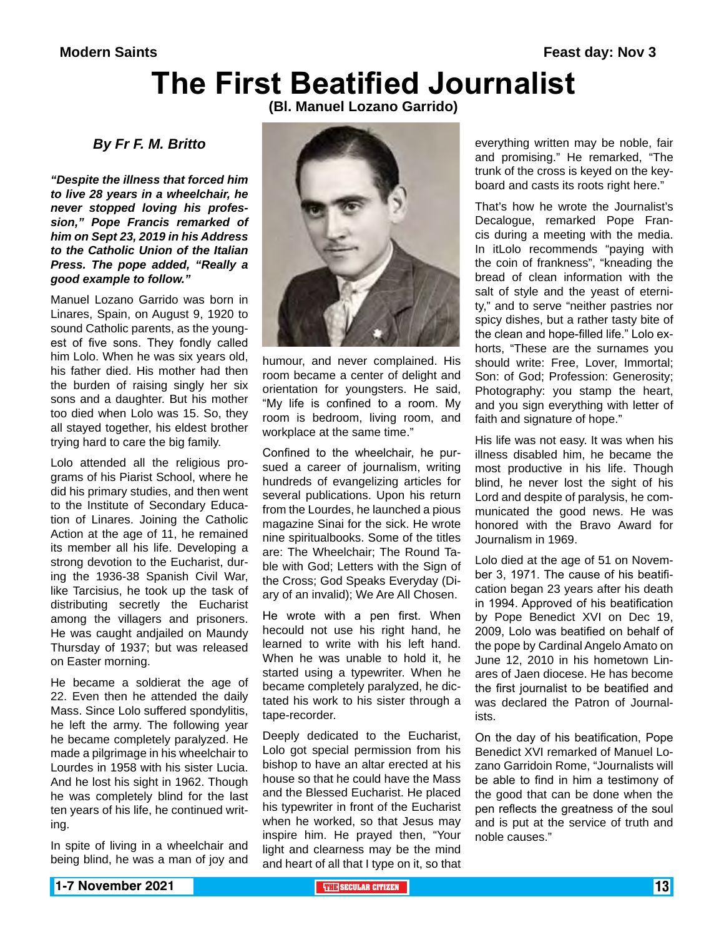# **The First Beatified Journalist**

**(Bl. Manuel Lozano Garrido)**

*By Fr F. M. Britto*

*"Despite the illness that forced him to live 28 years in a wheelchair, he never stopped loving his profession," Pope Francis remarked of him on Sept 23, 2019 in his Address to the Catholic Union of the Italian Press. The pope added, "Really a good example to follow."*

Manuel Lozano Garrido was born in Linares, Spain, on August 9, 1920 to sound Catholic parents, as the youngest of five sons. They fondly called him Lolo. When he was six years old, his father died. His mother had then the burden of raising singly her six sons and a daughter. But his mother too died when Lolo was 15. So, they all stayed together, his eldest brother trying hard to care the big family.

Lolo attended all the religious programs of his Piarist School, where he did his primary studies, and then went to the Institute of Secondary Education of Linares. Joining the Catholic Action at the age of 11, he remained its member all his life. Developing a strong devotion to the Eucharist, during the 1936-38 Spanish Civil War, like Tarcisius, he took up the task of distributing secretly the Eucharist among the villagers and prisoners. He was caught andjailed on Maundy Thursday of 1937; but was released on Easter morning.

He became a soldierat the age of 22. Even then he attended the daily Mass. Since Lolo suffered spondylitis, he left the army. The following year he became completely paralyzed. He made a pilgrimage in his wheelchair to Lourdes in 1958 with his sister Lucia. And he lost his sight in 1962. Though he was completely blind for the last ten years of his life, he continued writing.

In spite of living in a wheelchair and being blind, he was a man of joy and



humour, and never complained. His room became a center of delight and orientation for youngsters. He said, "My life is confined to a room. My room is bedroom, living room, and workplace at the same time."

Confined to the wheelchair, he pursued a career of journalism, writing hundreds of evangelizing articles for several publications. Upon his return from the Lourdes, he launched a pious magazine Sinai for the sick. He wrote nine spiritualbooks. Some of the titles are: The Wheelchair; The Round Table with God; Letters with the Sign of the Cross; God Speaks Everyday (Diary of an invalid); We Are All Chosen.

He wrote with a pen first. When hecould not use his right hand, he learned to write with his left hand. When he was unable to hold it, he started using a typewriter. When he became completely paralyzed, he dictated his work to his sister through a tape-recorder.

Deeply dedicated to the Eucharist, Lolo got special permission from his bishop to have an altar erected at his house so that he could have the Mass and the Blessed Eucharist. He placed his typewriter in front of the Eucharist when he worked, so that Jesus may inspire him. He prayed then, "Your light and clearness may be the mind and heart of all that I type on it, so that

everything written may be noble, fair and promising." He remarked, "The trunk of the cross is keyed on the keyboard and casts its roots right here."

That's how he wrote the Journalist's Decalogue, remarked Pope Francis during a meeting with the media. In itLolo recommends "paying with the coin of frankness", "kneading the bread of clean information with the salt of style and the yeast of eternity," and to serve "neither pastries nor spicy dishes, but a rather tasty bite of the clean and hope-filled life." Lolo exhorts, "These are the surnames you should write: Free, Lover, Immortal; Son: of God; Profession: Generosity; Photography: you stamp the heart, and you sign everything with letter of faith and signature of hope."

His life was not easy. It was when his illness disabled him, he became the most productive in his life. Though blind, he never lost the sight of his Lord and despite of paralysis, he communicated the good news. He was honored with the Bravo Award for Journalism in 1969.

Lolo died at the age of 51 on November 3, 1971. The cause of his beatification began 23 years after his death in 1994. Approved of his beatification by Pope Benedict XVI on Dec 19, 2009, Lolo was beatified on behalf of the pope by Cardinal Angelo Amato on June 12, 2010 in his hometown Linares of Jaen diocese. He has become the first journalist to be beatified and was declared the Patron of Journalists.

On the day of his beatification, Pope Benedict XVI remarked of Manuel Lozano Garridoin Rome, "Journalists will be able to find in him a testimony of the good that can be done when the pen reflects the greatness of the soul and is put at the service of truth and noble causes."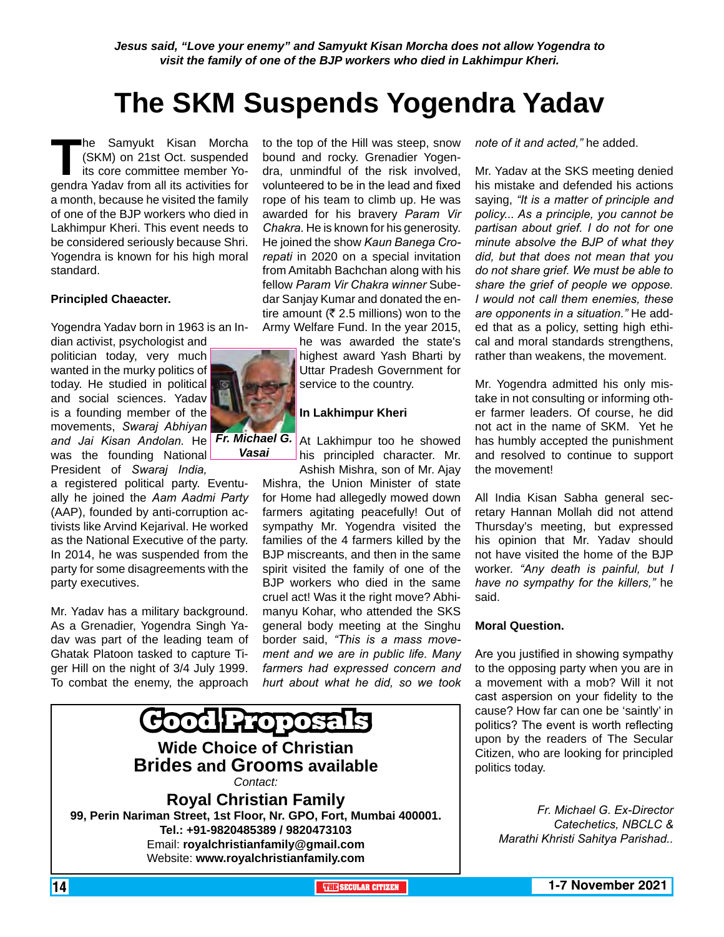*Jesus said, "Love your enemy" and Samyukt Kisan Morcha does not allow Yogendra to visit the family of one of the BJP workers who died in Lakhimpur Kheri.*

### **The SKM Suspends Yogendra Yadav**

**The Samyukt Kisan Morcha**<br>(SKM) on 21st Oct. suspended<br>its core committee member Yo-<br>gendra Yadav from all its activities for (SKM) on 21st Oct. suspended its core committee member Yogendra Yadav from all its activities for a month, because he visited the family of one of the BJP workers who died in Lakhimpur Kheri. This event needs to be considered seriously because Shri. Yogendra is known for his high moral standard.

### **Principled Chaeacter.**

Yogendra Yadav born in 1963 is an In-

dian activist, psychologist and politician today, very much wanted in the murky politics of today. He studied in political and social sciences. Yadav is a founding member of the movements, *Swaraj Abhiyan* and Jai Kisan Andolan. He Fr. Michael G. At Lakhimpur too he showed

was the founding National President of *Swaraj India,*

a registered political party. Eventually he joined the *Aam Aadmi Party* (AAP), founded by anti-corruption activists like Arvind Kejarival. He worked as the National Executive of the party. In 2014, he was suspended from the party for some disagreements with the party executives.

Mr. Yadav has a military background. As a Grenadier, Yogendra Singh Yadav was part of the leading team of Ghatak Platoon tasked to capture Tiger Hill on the night of 3/4 July 1999. To combat the enemy, the approach

to the top of the Hill was steep, snow bound and rocky. Grenadier Yogendra, unmindful of the risk involved, volunteered to be in the lead and fixed rope of his team to climb up. He was awarded for his bravery *Param Vir Chakra.* He is known for his generosity. He joined the show *Kaun Banega Crorepati* in 2020 on a special invitation from Amitabh Bachchan along with his fellow *Param Vir Chakra winner* Subedar Sanjay Kumar and donated the entire amount ( $\overline{\xi}$  2.5 millions) won to the Army Welfare Fund. In the year 2015,

he was awarded the state's highest award Yash Bharti by Uttar Pradesh Government for service to the country.

### **In Lakhimpur Kheri**

his principled character. Mr. Ashish Mishra, son of Mr. Ajay

Mishra, the Union Minister of state for Home had allegedly mowed down farmers agitating peacefully! Out of sympathy Mr. Yogendra visited the families of the 4 farmers killed by the BJP miscreants, and then in the same spirit visited the family of one of the BJP workers who died in the same cruel act! Was it the right move? Abhimanyu Kohar, who attended the SKS general body meeting at the Singhu border said, *"This is a mass movement and we are in public life. Many farmers had expressed concern and hurt about what he did, so we took*



*note of it and acted,"* he added.

Mr. Yadav at the SKS meeting denied his mistake and defended his actions saying, *"It is a matter of principle and policy... As a principle, you cannot be partisan about grief. I do not for one minute absolve the BJP of what they did, but that does not mean that you do not share grief. We must be able to share the grief of people we oppose. I would not call them enemies, these are opponents in a situation."* He added that as a policy, setting high ethical and moral standards strengthens, rather than weakens, the movement.

Mr. Yogendra admitted his only mistake in not consulting or informing other farmer leaders. Of course, he did not act in the name of SKM. Yet he has humbly accepted the punishment and resolved to continue to support the movement!

All India Kisan Sabha general secretary Hannan Mollah did not attend Thursday's meeting, but expressed his opinion that Mr. Yadav should not have visited the home of the BJP worker. *"Any death is painful, but I have no sympathy for the killers,"* he said.

#### **Moral Question.**

Are you justified in showing sympathy to the opposing party when you are in a movement with a mob? Will it not cast aspersion on your fidelity to the cause? How far can one be 'saintly' in politics? The event is worth reflecting upon by the readers of The Secular Citizen, who are looking for principled politics today.

> *Fr. Michael G. Ex-Director Catechetics, NBCLC & Marathi Khristi Sahitya Parishad..*



*Vasai*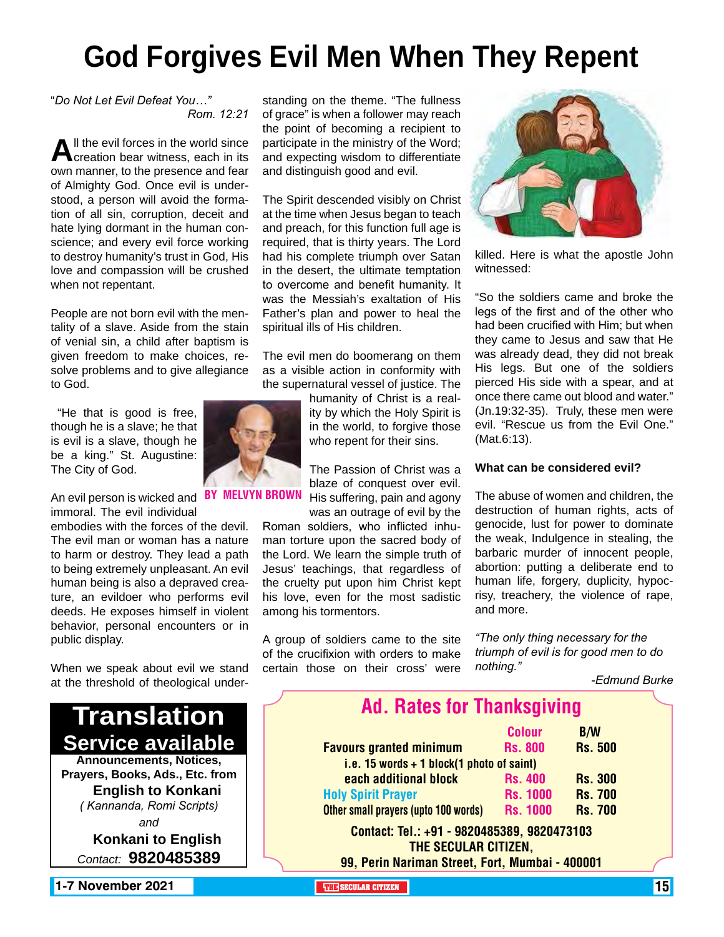# **God Forgives Evil Men When They Repent**

"*Do Not Let Evil Defeat You…" Rom. 12:21*

**A**ll the evil forces in the world since<br>creation bear witness, each in its own manner, to the presence and fear of Almighty God. Once evil is understood, a person will avoid the formation of all sin, corruption, deceit and hate lying dormant in the human conscience; and every evil force working to destroy humanity's trust in God, His love and compassion will be crushed when not repentant.

People are not born evil with the mentality of a slave. Aside from the stain of venial sin, a child after baptism is given freedom to make choices, resolve problems and to give allegiance to God.

 "He that is good is free, though he is a slave; he that is evil is a slave, though he be a king." St. Augustine: The City of God.

An evil person is wicked and PSY MELVYN BR immoral. The evil individual

embodies with the forces of the devil. The evil man or woman has a nature to harm or destroy. They lead a path to being extremely unpleasant. An evil human being is also a depraved creature, an evildoer who performs evil deeds. He exposes himself in violent behavior, personal encounters or in public display.

When we speak about evil we stand at the threshold of theological under-



standing on the theme. "The fullness of grace" is when a follower may reach the point of becoming a recipient to participate in the ministry of the Word; and expecting wisdom to differentiate and distinguish good and evil.

The Spirit descended visibly on Christ at the time when Jesus began to teach and preach, for this function full age is required, that is thirty years. The Lord had his complete triumph over Satan in the desert, the ultimate temptation to overcome and benefit humanity. It was the Messiah's exaltation of His Father's plan and power to heal the spiritual ills of His children.

The evil men do boomerang on them as a visible action in conformity with the supernatural vessel of justice. The

humanity of Christ is a reality by which the Holy Spirit is in the world, to forgive those who repent for their sins.

The Passion of Christ was a blaze of conquest over evil. His suffering, pain and agony was an outrage of evil by the

Roman soldiers, who inflicted inhuman torture upon the sacred body of the Lord. We learn the simple truth of Jesus' teachings, that regardless of the cruelty put upon him Christ kept his love, even for the most sadistic among his tormentors.

A group of soldiers came to the site of the crucifixion with orders to make certain those on their cross' were



killed. Here is what the apostle John witnessed:

"So the soldiers came and broke the legs of the first and of the other who had been crucified with Him; but when they came to Jesus and saw that He was already dead, they did not break His legs. But one of the soldiers pierced His side with a spear, and at once there came out blood and water." (Jn.19:32-35). Truly, these men were evil. "Rescue us from the Evil One." (Mat.6:13).

#### **What can be considered evil?**

The abuse of women and children, the destruction of human rights, acts of genocide, lust for power to dominate the weak, Indulgence in stealing, the barbaric murder of innocent people, abortion: putting a deliberate end to human life, forgery, duplicity, hypocrisy, treachery, the violence of rape, and more.

*"The only thing necessary for the triumph of evil is for good men to do nothing."*

### *-Edmund Burke*

| <b>Ad. Rates for Thanksgiving</b>                                   |                 |                |  |
|---------------------------------------------------------------------|-----------------|----------------|--|
|                                                                     | <b>Colour</b>   | <b>B/W</b>     |  |
| <b>Favours granted minimum</b>                                      | <b>Rs. 800</b>  | <b>Rs. 500</b> |  |
| i.e. 15 words $+$ 1 block(1 photo of saint)                         |                 |                |  |
| each additional block                                               | <b>Rs. 400</b>  | <b>Rs. 300</b> |  |
| <b>Holy Spirit Prayer</b>                                           | <b>Rs. 1000</b> | <b>Rs. 700</b> |  |
| Other small prayers (upto 100 words)                                | <b>Rs. 1000</b> | <b>Rs. 700</b> |  |
| Contact: Tel.: +91 - 9820485389, 9820473103<br>THE SECULAR CITIZEN, |                 |                |  |
| 99, Perin Nariman Street, Fort, Mumbai - 400001                     |                 |                |  |

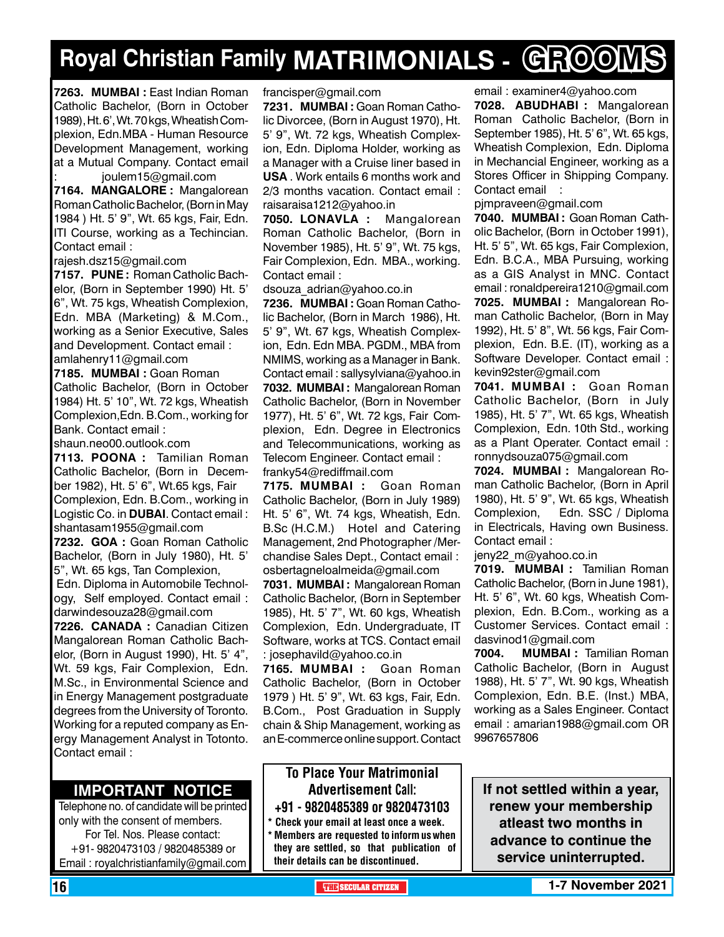# **Royal Christian Family MATRIMONIALS - GROOMS**

**7263. MUMBAI :** East Indian Roman Catholic Bachelor, (Born in October 1989), Ht. 6', Wt. 70 kgs, Wheatish Complexion, Edn.MBA - Human Resource Development Management, working at a Mutual Company. Contact email : joulem15@gmail.com

**7164. MANGALORE :** Mangalorean Roman Catholic Bachelor, (Born in May 1984 ) Ht. 5' 9", Wt. 65 kgs, Fair, Edn. ITI Course, working as a Techincian. Contact email :

rajesh.dsz15@gmail.com

**7157. PUNE :** Roman Catholic Bachelor, (Born in September 1990) Ht. 5' 6", Wt. 75 kgs, Wheatish Complexion, Edn. MBA (Marketing) & M.Com., working as a Senior Executive, Sales and Development. Contact email : amlahenry11@gmail.com

**7185. MUMBAI :** Goan Roman Catholic Bachelor, (Born in October 1984) Ht. 5' 10", Wt. 72 kgs, Wheatish Complexion,Edn. B.Com., working for Bank. Contact email :

shaun.neo00.outlook.com

**7113. POONA :** Tamilian Roman Catholic Bachelor, (Born in December 1982), Ht. 5' 6", Wt.65 kgs, Fair Complexion, Edn. B.Com., working in Logistic Co. in **DUBAI**. Contact email : shantasam1955@gmail.com **7232. GOA :** Goan Roman Catholic Bachelor, (Born in July 1980), Ht. 5' 5", Wt. 65 kgs, Tan Complexion, Edn. Diploma in Automobile Technology, Self employed. Contact email : darwindesouza28@gmail.com **7226. CANADA :** Canadian Citizen Mangalorean Roman Catholic Bachelor, (Born in August 1990), Ht. 5' 4", Wt. 59 kgs, Fair Complexion, Edn. M.Sc., in Environmental Science and in Energy Management postgraduate degrees from the University of Toronto. Working for a reputed company as Energy Management Analyst in Totonto. Contact email :

### **Important Notice**

Telephone no. of candidate will be printed only with the consent of members. For Tel. Nos. Please contact: +91- 9820473103 / 9820485389 or Email : royalchristianfamily@gmail.com

francisper@gmail.com

**7231. MUMBAI :** Goan Roman Catholic Divorcee, (Born in August 1970), Ht. 5' 9", Wt. 72 kgs, Wheatish Complexion, Edn. Diploma Holder, working as a Manager with a Cruise liner based in **USA** . Work entails 6 months work and 2/3 months vacation. Contact email : raisaraisa1212@yahoo.in

**7050. LONAVLA :** Mangalorean Roman Catholic Bachelor, (Born in November 1985), Ht. 5' 9", Wt. 75 kgs, Fair Complexion, Edn. MBA., working. Contact email :

dsouza\_adrian@yahoo.co.in

**7236. MUMBAI :** Goan Roman Catholic Bachelor, (Born in March 1986), Ht. 5' 9", Wt. 67 kgs, Wheatish Complexion, Edn. Edn MBA. PGDM., MBA from NMIMS, working as a Manager in Bank. Contact email : sallysylviana@yahoo.in **7032. MUMBAI :** Mangalorean Roman Catholic Bachelor, (Born in November 1977), Ht. 5' 6", Wt. 72 kgs, Fair Complexion, Edn. Degree in Electronics and Telecommunications, working as Telecom Engineer. Contact email : franky54@rediffmail.com

**7175. MUMBAI :** Goan Roman Catholic Bachelor, (Born in July 1989) Ht. 5' 6", Wt. 74 kgs, Wheatish, Edn. B.Sc (H.C.M.) Hotel and Catering Management, 2nd Photographer /Merchandise Sales Dept., Contact email : osbertagneloalmeida@gmail.com

**7031. MUMBAI :** Mangalorean Roman Catholic Bachelor, (Born in September 1985), Ht. 5' 7", Wt. 60 kgs, Wheatish Complexion, Edn. Undergraduate, IT Software, works at TCS. Contact email : josephavild@yahoo.co.in

**7165. MUMBAI :** Goan Roman Catholic Bachelor, (Born in October 1979 ) Ht. 5' 9", Wt. 63 kgs, Fair, Edn. B.Com., Post Graduation in Supply chain & Ship Management, working as an E-commerce online support. Contact

### To Place Your Matrimonial Advertisement Call: +91 - 9820485389 or 9820473103

\* Check your email at least once a week. \* Members are requested to inform us when they are settled, so that publication of their details can be discontinued.

email : examiner4@yahoo.com

**7028. ABUDHABI :** Mangalorean Roman Catholic Bachelor, (Born in September 1985), Ht. 5' 6", Wt. 65 kgs, Wheatish Complexion, Edn. Diploma in Mechancial Engineer, working as a Stores Officer in Shipping Company. Contact email :

pjmpraveen@gmail.com

**7040. MUMBAI :** Goan Roman Catholic Bachelor, (Born in October 1991), Ht. 5' 5", Wt. 65 kgs, Fair Complexion, Edn. B.C.A., MBA Pursuing, working as a GIS Analyst in MNC. Contact email : ronaldpereira1210@gmail.com **7025. MUMBAI :** Mangalorean Roman Catholic Bachelor, (Born in May 1992), Ht. 5' 8", Wt. 56 kgs, Fair Complexion, Edn. B.E. (IT), working as a Software Developer. Contact email : kevin92ster@gmail.com

**7041. MUMBAI :** Goan Roman Catholic Bachelor, (Born in July 1985), Ht. 5' 7", Wt. 65 kgs, Wheatish Complexion, Edn. 10th Std., working as a Plant Operater. Contact email : ronnydsouza075@gmail.com

**7024. MUMBAI :** Mangalorean Roman Catholic Bachelor, (Born in April 1980), Ht. 5' 9", Wt. 65 kgs, Wheatish Complexion, Edn. SSC / Diploma in Electricals, Having own Business. Contact email :

jeny22\_m@yahoo.co.in

**7019. MUMBAI :** Tamilian Roman Catholic Bachelor, (Born in June 1981), Ht. 5' 6", Wt. 60 kgs, Wheatish Complexion, Edn. B.Com., working as a Customer Services. Contact email : dasvinod1@gmail.com

**7004. MUMBAI :** Tamilian Roman Catholic Bachelor, (Born in August 1988), Ht. 5' 7", Wt. 90 kgs, Wheatish Complexion, Edn. B.E. (Inst.) MBA, working as a Sales Engineer. Contact email : amarian1988@gmail.com OR 9967657806

**If not settled within a year, renew your membership atleast two months in advance to continue the service uninterrupted.**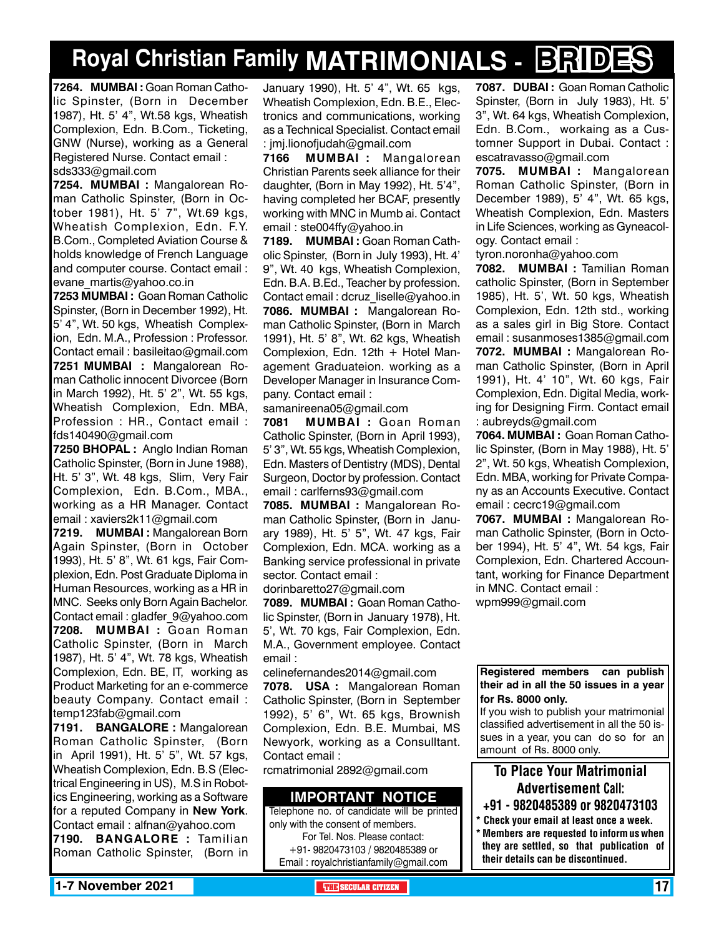# **Royal Christian Family MATRIMONIALS - BRIDES**

**7264. MUMBAI :** Goan Roman Catholic Spinster, (Born in December 1987), Ht. 5' 4", Wt.58 kgs, Wheatish Complexion, Edn. B.Com., Ticketing, GNW (Nurse), working as a General Registered Nurse. Contact email : sds333@gmail.com

**7254. MUMBAI :** Mangalorean Roman Catholic Spinster, (Born in October 1981), Ht. 5' 7", Wt.69 kgs, Wheatish Complexion, Edn. F.Y. B.Com., Completed Aviation Course & holds knowledge of French Language and computer course. Contact email : evane\_martis@yahoo.co.in

**7253 MUMBAI :** Goan Roman Catholic Spinster, (Born in December 1992), Ht. 5' 4", Wt. 50 kgs, Wheatish Complexion, Edn. M.A., Profession : Professor. Contact email : basileitao@gmail.com **7251 MUMBAI :** Mangalorean Roman Catholic innocent Divorcee (Born in March 1992), Ht. 5' 2", Wt. 55 kgs, Wheatish Complexion, Edn. MBA, Profession : HR., Contact email : fds140490@gmail.com

**7250 BHOPAL :** Anglo Indian Roman Catholic Spinster, (Born in June 1988), Ht. 5' 3", Wt. 48 kgs, Slim, Very Fair Complexion, Edn. B.Com., MBA., working as a HR Manager. Contact email : xaviers2k11@gmail.com

**7219. MUMBAI :** Mangalorean Born Again Spinster, (Born in October 1993), Ht. 5' 8", Wt. 61 kgs, Fair Complexion, Edn. Post Graduate Diploma in Human Resources, working as a HR in MNC. Seeks only Born Again Bachelor. Contact email : gladfer\_9@yahoo.com **7208. MUMBAI :** Goan Roman Catholic Spinster, (Born in March 1987), Ht. 5' 4", Wt. 78 kgs, Wheatish Complexion, Edn. BE, IT, working as Product Marketing for an e-commerce beauty Company. Contact email : temp123fab@gmail.com

**7191. BANGALORE :** Mangalorean Roman Catholic Spinster, (Born in April 1991), Ht. 5' 5", Wt. 57 kgs, Wheatish Complexion, Edn. B.S (Electrical Engineering in US), M.S in Robotics Engineering, working as a Software for a reputed Company in **New York**. Contact email : alfnan@yahoo.com

**7190. BANGALORE :** Tamilian Roman Catholic Spinster, (Born in

January 1990), Ht. 5' 4", Wt. 65 kgs, Wheatish Complexion, Edn. B.E., Electronics and communications, working as a Technical Specialist. Contact email : jmj.lionofjudah@gmail.com

**7166 MUMBAI :** Mangalorean Christian Parents seek alliance for their daughter, (Born in May 1992), Ht. 5'4", having completed her BCAF, presently working with MNC in Mumb ai. Contact email : ste004ffy@yahoo.in

**7189. MUMBAI :** Goan Roman Catholic Spinster, (Born in July 1993), Ht. 4' 9", Wt. 40 kgs, Wheatish Complexion, Edn. B.A. B.Ed., Teacher by profession. Contact email : dcruz\_liselle@yahoo.in **7086. MUMBAI :** Mangalorean Roman Catholic Spinster, (Born in March 1991), Ht. 5' 8", Wt. 62 kgs, Wheatish Complexion, Edn. 12th  $+$  Hotel Management Graduateion. working as a Developer Manager in Insurance Company. Contact email :

samanireena05@gmail.com

**7081 MUMBAI :** Goan Roman Catholic Spinster, (Born in April 1993), 5' 3", Wt. 55 kgs, Wheatish Complexion, Edn. Masters of Dentistry (MDS), Dental Surgeon, Doctor by profession. Contact email : carlferns93@gmail.com

**7085. MUMBAI :** Mangalorean Roman Catholic Spinster, (Born in January 1989), Ht. 5' 5", Wt. 47 kgs, Fair Complexion, Edn. MCA. working as a Banking service professional in private sector. Contact email :

dorinbaretto27@gmail.com **7089. MUMBAI :** Goan Roman Catholic Spinster, (Born in January 1978), Ht. 5', Wt. 70 kgs, Fair Complexion, Edn. M.A., Government employee. Contact

email :

celinefernandes2014@gmail.com **7078. USA :** Mangalorean Roman Catholic Spinster, (Born in September 1992), 5' 6", Wt. 65 kgs, Brownish Complexion, Edn. B.E. Mumbai, MS Newyork, working as a Consulltant. Contact email :

rcmatrimonial 2892@gmail.com

### **Important Notice**

Telephone no. of candidate will be printed only with the consent of members. For Tel. Nos. Please contact: +91- 9820473103 / 9820485389 or Email : royalchristianfamily@gmail.com

**7087. DUBAI :** Goan Roman Catholic Spinster, (Born in July 1983), Ht. 5' 3", Wt. 64 kgs, Wheatish Complexion, Edn. B.Com., workaing as a Customner Support in Dubai. Contact : escatravasso@gmail.com

**7075. MUMBAI :** Mangalorean Roman Catholic Spinster, (Born in December 1989), 5' 4", Wt. 65 kgs, Wheatish Complexion, Edn. Masters in Life Sciences, working as Gyneacology. Contact email :

tyron.noronha@yahoo.com **7082. MUMBAI :** Tamilian Roman catholic Spinster, (Born in September 1985), Ht. 5', Wt. 50 kgs, Wheatish Complexion, Edn. 12th std., working as a sales girl in Big Store. Contact email : susanmoses1385@gmail.com **7072. MUMBAI :** Mangalorean Roman Catholic Spinster, (Born in April 1991), Ht. 4' 10", Wt. 60 kgs, Fair Complexion, Edn. Digital Media, working for Designing Firm. Contact email : aubreyds@gmail.com

**7064. MUMBAI :** Goan Roman Catholic Spinster, (Born in May 1988), Ht. 5' 2", Wt. 50 kgs, Wheatish Complexion, Edn. MBA, working for Private Company as an Accounts Executive. Contact email : cecrc19@gmail.com

**7067. MUMBAI :** Mangalorean Roman Catholic Spinster, (Born in October 1994), Ht. 5' 4", Wt. 54 kgs, Fair Complexion, Edn. Chartered Accountant, working for Finance Department in MNC. Contact email : wpm999@gmail.com

**Registered members can publish their ad in all the 50 issues in a year for Rs. 8000 only.**

If you wish to publish your matrimonial classified advertisement in all the 50 issues in a year, you can do so for an amount of Rs. 8000 only.

### To Place Your Matrimonial Advertisement Call:

- +91 9820485389 or 9820473103
- \* Check your email at least once a week. \* Members are requested to inform us when they are settled, so that publication of their details can be discontinued.

**1-7 November 2021 THE SECULAR CITIZEN** 17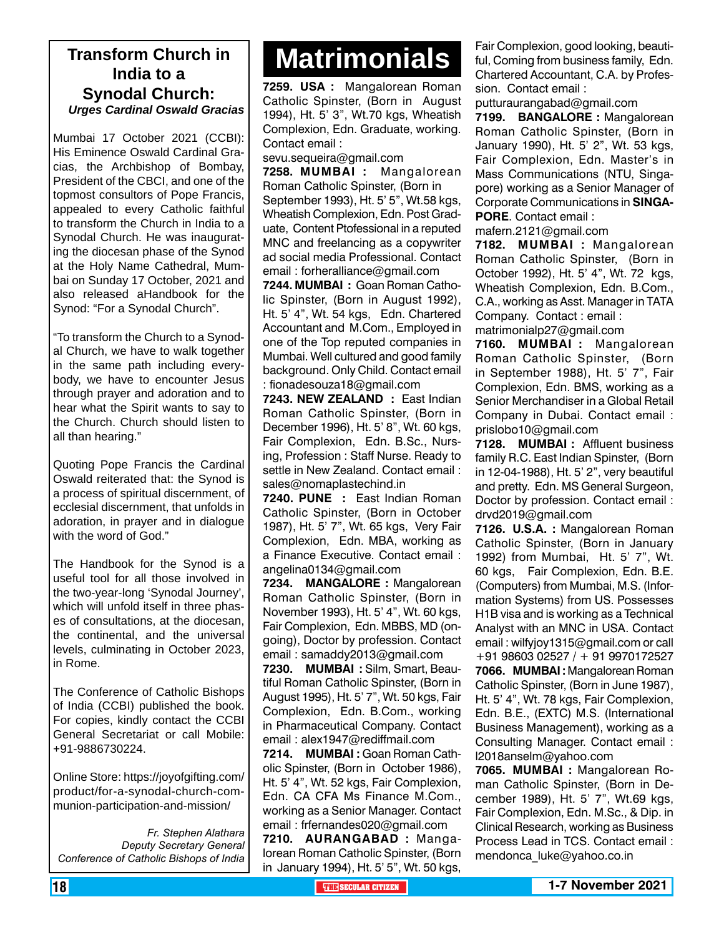### **India to a Synodal Church:** *Urges Cardinal Oswald Gracias*

Mumbai 17 October 2021 (CCBI): His Eminence Oswald Cardinal Gracias, the Archbishop of Bombay, President of the CBCI, and one of the topmost consultors of Pope Francis, appealed to every Catholic faithful to transform the Church in India to a Synodal Church. He was inaugurating the diocesan phase of the Synod at the Holy Name Cathedral, Mumbai on Sunday 17 October, 2021 and also released aHandbook for the Synod: "For a Synodal Church".

"To transform the Church to a Synodal Church, we have to walk together in the same path including everybody, we have to encounter Jesus through prayer and adoration and to hear what the Spirit wants to say to the Church. Church should listen to all than hearing."

Quoting Pope Francis the Cardinal Oswald reiterated that: the Synod is a process of spiritual discernment, of ecclesial discernment, that unfolds in adoration, in prayer and in dialogue with the word of God."

The Handbook for the Synod is a useful tool for all those involved in the two-year-long 'Synodal Journey', which will unfold itself in three phases of consultations, at the diocesan, the continental, and the universal levels, culminating in October 2023, in Rome.

The Conference of Catholic Bishops of India (CCBI) published the book. For copies, kindly contact the CCBI General Secretariat or call Mobile: +91-9886730224.

Online Store: https://joyofgifting.com/ product/for-a-synodal-church-communion-participation-and-mission/

*Fr. Stephen Alathara Deputy Secretary General Conference of Catholic Bishops of India*

# **Matrimonials Transform Church in**

**7259. USA :** Mangalorean Roman Catholic Spinster, (Born in August 1994), Ht. 5' 3", Wt.70 kgs, Wheatish Complexion, Edn. Graduate, working. Contact email :

sevu.sequeira@gmail.com

**7258. MUMBAI :** Mangalorean Roman Catholic Spinster, (Born in September 1993), Ht. 5' 5", Wt.58 kgs, Wheatish Complexion, Edn. Post Graduate, Content Ptofessional in a reputed MNC and freelancing as a copywriter ad social media Professional. Contact email : forheralliance@gmail.com

**7244. MUMBAI :** Goan Roman Catholic Spinster, (Born in August 1992), Ht. 5' 4", Wt. 54 kgs, Edn. Chartered Accountant and M.Com., Employed in one of the Top reputed companies in Mumbai. Well cultured and good family background. Only Child. Contact email : fionadesouza18@gmail.com

**7243. NEW ZEALAND :** East Indian Roman Catholic Spinster, (Born in December 1996), Ht. 5' 8", Wt. 60 kgs, Fair Complexion, Edn. B.Sc., Nursing, Profession : Staff Nurse. Ready to settle in New Zealand. Contact email : sales@nomaplastechind.in

**7240. PUNE :** East Indian Roman Catholic Spinster, (Born in October 1987), Ht. 5' 7", Wt. 65 kgs, Very Fair Complexion, Edn. MBA, working as a Finance Executive. Contact email : angelina0134@gmail.com

**7234. MANGALORE :** Mangalorean Roman Catholic Spinster, (Born in November 1993), Ht. 5' 4", Wt. 60 kgs, Fair Complexion, Edn. MBBS, MD (ongoing), Doctor by profession. Contact email : samaddy2013@gmail.com

**7230. MUMBAI :** Silm, Smart, Beautiful Roman Catholic Spinster, (Born in August 1995), Ht. 5' 7", Wt. 50 kgs, Fair Complexion, Edn. B.Com., working in Pharmaceutical Company. Contact email : alex1947@rediffmail.com

**7214. MUMBAI :** Goan Roman Catholic Spinster, (Born in October 1986), Ht. 5' 4", Wt. 52 kgs, Fair Complexion, Edn. CA CFA Ms Finance M.Com., working as a Senior Manager. Contact email : frfernandes020@gmail.com **7210. AURA NGABAD :** Manga-

lorean Roman Catholic Spinster, (Born in January 1994), Ht. 5' 5", Wt. 50 kgs,

Fair Complexion, good looking, beautiful, Coming from business family, Edn. Chartered Accountant, C.A. by Profession. Contact email :

putturaurangabad@gmail.com

**7199. BANGALORE :** Mangalorean Roman Catholic Spinster, (Born in January 1990), Ht. 5' 2", Wt. 53 kgs, Fair Complexion, Edn. Master's in Mass Communications (NTU, Singapore) working as a Senior Manager of Corporate Communications in **SINGA-PORE**. Contact email :

mafern.2121@gmail.com

**7182. MUMBAI :** Mangalorean Roman Catholic Spinster, (Born in October 1992), Ht. 5' 4", Wt. 72 kgs, Wheatish Complexion, Edn. B.Com., C.A., working as Asst. Manager in TATA Company. Contact : email : matrimonialp27@gmail.com

**7160. MUMBAI :** Mangalorean Roman Catholic Spinster, (Born in September 1988), Ht. 5' 7", Fair Complexion, Edn. BMS, working as a Senior Merchandiser in a Global Retail Company in Dubai. Contact email : prislobo10@gmail.com

**7128. MUMBAI :** Affluent business family R.C. East Indian Spinster, (Born in 12-04-1988), Ht. 5' 2", very beautiful and pretty. Edn. MS General Surgeon, Doctor by profession. Contact email : drvd2019@gmail.com

**7126. U.S.A. :** Mangalorean Roman Catholic Spinster, (Born in January 1992) from Mumbai, Ht. 5' 7", Wt. 60 kgs, Fair Complexion, Edn. B.E. (Computers) from Mumbai, M.S. (Information Systems) from US. Possesses H1B visa and is working as a Technical Analyst with an MNC in USA. Contact email : wilfyjoy1315@gmail.com or call +91 98603 02527 / + 91 9970172527 **7066. MUMBAI :** Mangalorean Roman Catholic Spinster, (Born in June 1987), Ht. 5' 4", Wt. 78 kgs, Fair Complexion, Edn. B.E., (EXTC) M.S. (International Business Management), working as a Consulting Manager. Contact email : l2018anselm@yahoo.com

**7065. MUMBAI :** Mangalorean Roman Catholic Spinster, (Born in December 1989), Ht. 5' 7", Wt.69 kgs, Fair Complexion, Edn. M.Sc., & Dip. in Clinical Research, working as Business Process Lead in TCS. Contact email : mendonca\_luke@yahoo.co.in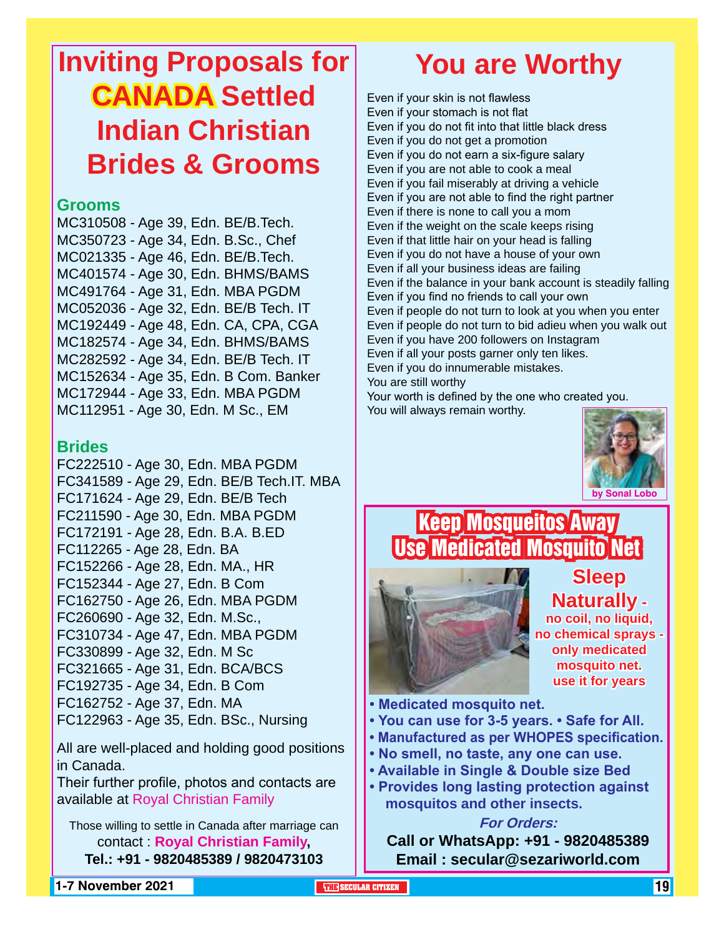# **Inviting Proposals for CANADA Settled Indian Christian Brides & Grooms**

### **Grooms**

MC310508 - Age 39, Edn. BE/B.Tech. MC350723 - Age 34, Edn. B.Sc., Chef MC021335 - Age 46, Edn. BE/B.Tech. MC401574 - Age 30, Edn. BHMS/BAMS MC491764 - Age 31, Edn. MBA PGDM MC052036 - Age 32, Edn. BE/B Tech. IT MC192449 - Age 48, Edn. CA, CPA, CGA MC182574 - Age 34, Edn. BHMS/BAMS MC282592 - Age 34, Edn. BE/B Tech. IT MC152634 - Age 35, Edn. B Com. Banker MC172944 - Age 33, Edn. MBA PGDM MC112951 - Age 30, Edn. M Sc., EM

### **Brides**

FC222510 - Age 30, Edn. MBA PGDM FC341589 - Age 29, Edn. BE/B Tech.IT. MBA FC171624 - Age 29, Edn. BE/B Tech FC211590 - Age 30, Edn. MBA PGDM FC172191 - Age 28, Edn. B.A. B.ED FC112265 - Age 28, Edn. BA FC152266 - Age 28, Edn. MA., HR FC152344 - Age 27, Edn. B Com FC162750 - Age 26, Edn. MBA PGDM FC260690 - Age 32, Edn. M.Sc., FC310734 - Age 47, Edn. MBA PGDM FC330899 - Age 32, Edn. M Sc FC321665 - Age 31, Edn. BCA/BCS FC192735 - Age 34, Edn. B Com FC162752 - Age 37, Edn. MA FC122963 - Age 35, Edn. BSc., Nursing

All are well-placed and holding good positions in Canada.

Their further profile, photos and contacts are available at Royal Christian Family

Those willing to settle in Canada after marriage can contact : **Royal Christian Family, Tel.: +91 - 9820485389 / 9820473103**

# **You are Worthy**

Even if your skin is not flawless Even if your stomach is not flat Even if you do not fit into that little black dress Even if you do not get a promotion Even if you do not earn a six-figure salary Even if you are not able to cook a meal Even if you fail miserably at driving a vehicle Even if you are not able to find the right partner Even if there is none to call you a mom Even if the weight on the scale keeps rising Even if that little hair on your head is falling Even if you do not have a house of your own Even if all your business ideas are failing Even if the balance in your bank account is steadily falling Even if you find no friends to call your own Even if people do not turn to look at you when you enter Even if people do not turn to bid adieu when you walk out Even if you have 200 followers on Instagram Even if all your posts garner only ten likes. Even if you do innumerable mistakes. You are still worthy Your worth is defined by the one who created you.

You will always remain worthy.



### Keep Mosqueitos Away Use Medicated Mosquito Net **Sleep**



**Naturally no coil, no liquid, no chemical sprays only medicated mosquito net. use it for years**

**• Medicated mosquito net.**

- **You can use for 3-5 years. Safe for All.**
- **Manufactured as per WHOPES specification.**
- **No smell, no taste, any one can use.**
- **Available in Single & Double size Bed**
- **Provides long lasting protection against mosquitos and other insects.**

### **For Orders:**

**Call or WhatsApp: +91 - 9820485389 Email : secular@sezariworld.com**